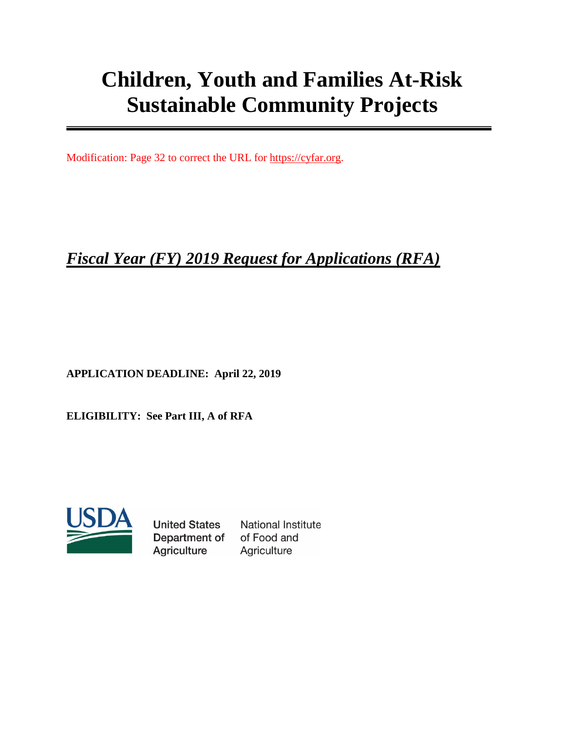# **Children, Youth and Families At-Risk Sustainable Community Projects**

Modification: Page 32 to correct the URL for [https://cyfar.org.](https://cyfar.org/)

# *Fiscal Year (FY) 2019 Request for Applications (RFA)*

**APPLICATION DEADLINE: April 22, 2019**

**ELIGIBILITY: See Part III, A of RFA**



**United States** Department of Agriculture

**National Institute** of Food and Agriculture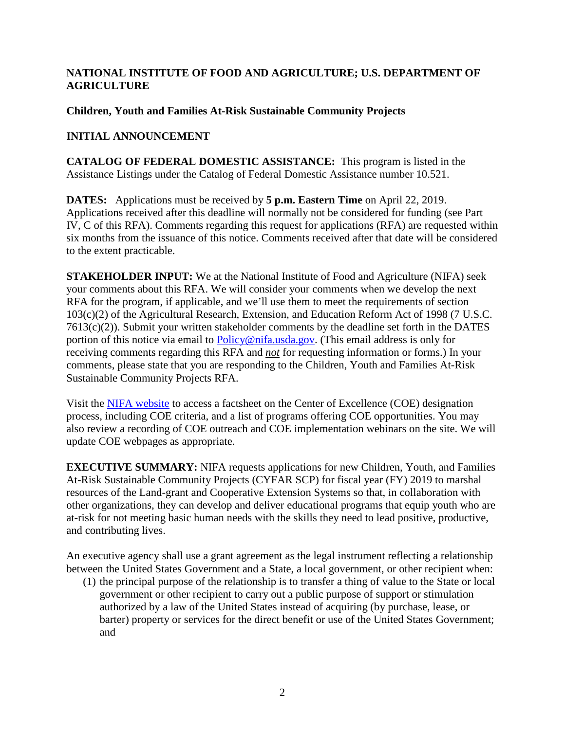#### **NATIONAL INSTITUTE OF FOOD AND AGRICULTURE; U.S. DEPARTMENT OF AGRICULTURE**

#### **Children, Youth and Families At-Risk Sustainable Community Projects**

# **INITIAL ANNOUNCEMENT**

**CATALOG OF FEDERAL DOMESTIC ASSISTANCE:** This program is listed in the Assistance Listings under the Catalog of Federal Domestic Assistance number 10.521.

**DATES:** Applications must be received by **5 p.m. Eastern Time** on April 22, 2019. Applications received after this deadline will normally not be considered for funding (see Part IV, C of this RFA). Comments regarding this request for applications (RFA) are requested within six months from the issuance of this notice. Comments received after that date will be considered to the extent practicable.

**STAKEHOLDER INPUT:** We at the National Institute of Food and Agriculture (NIFA) seek your comments about this RFA. We will consider your comments when we develop the next RFA for the program, if applicable, and we'll use them to meet the requirements of section 103(c)(2) of the Agricultural Research, Extension, and Education Reform Act of 1998 (7 U.S.C. 7613(c)(2)). Submit your written stakeholder comments by the deadline set forth in the DATES portion of this notice via email to [Policy@nifa.usda.gov.](mailto:Policy@nifa.usda.gov) (This email address is only for receiving comments regarding this RFA and *not* for requesting information or forms.) In your comments, please state that you are responding to the Children, Youth and Families At-Risk Sustainable Community Projects RFA.

Visit the [NIFA website](https://nifa.usda.gov/centers-excellence) to access a factsheet on the Center of Excellence (COE) designation process, including COE criteria, and a list of programs offering COE opportunities. You may also review a recording of COE outreach and COE implementation webinars on the site. We will update COE webpages as appropriate.

**EXECUTIVE SUMMARY:** NIFA requests applications for new Children, Youth, and Families At-Risk Sustainable Community Projects (CYFAR SCP) for fiscal year (FY) 2019 to marshal resources of the Land-grant and Cooperative Extension Systems so that, in collaboration with other organizations, they can develop and deliver educational programs that equip youth who are at-risk for not meeting basic human needs with the skills they need to lead positive, productive, and contributing lives.

An executive agency shall use a grant agreement as the legal instrument reflecting a relationship between the United States Government and a State, a local government, or other recipient when:

(1) the principal purpose of the relationship is to transfer a thing of value to the State or local government or other recipient to carry out a public purpose of support or stimulation authorized by a law of the United States instead of acquiring (by purchase, lease, or barter) property or services for the direct benefit or use of the United States Government; and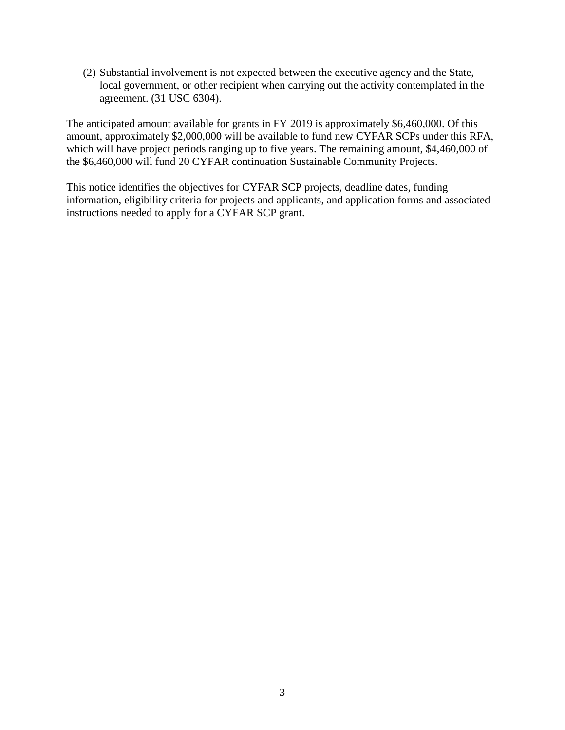(2) Substantial involvement is not expected between the executive agency and the State, local government, or other recipient when carrying out the activity contemplated in the agreement. (31 USC 6304).

The anticipated amount available for grants in FY 2019 is approximately \$6,460,000. Of this amount, approximately \$2,000,000 will be available to fund new CYFAR SCPs under this RFA, which will have project periods ranging up to five years. The remaining amount, \$4,460,000 of the \$6,460,000 will fund 20 CYFAR continuation Sustainable Community Projects.

This notice identifies the objectives for CYFAR SCP projects, deadline dates, funding information, eligibility criteria for projects and applicants, and application forms and associated instructions needed to apply for a CYFAR SCP grant.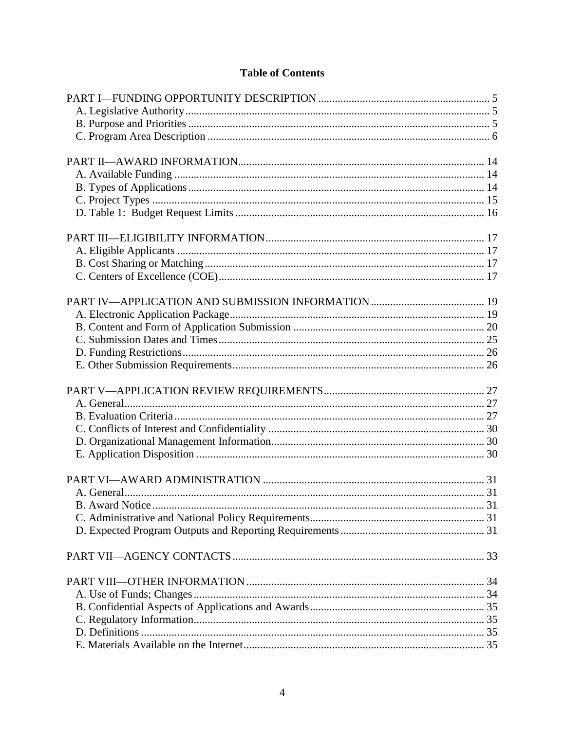# **Table of Contents**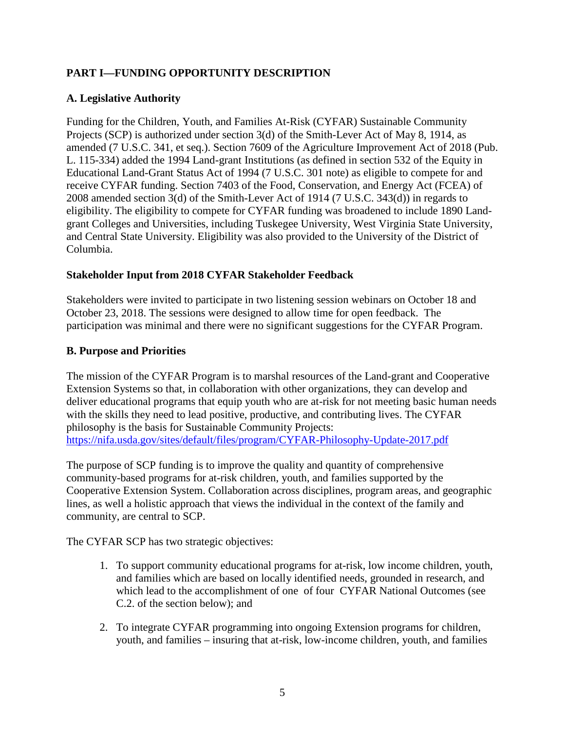# <span id="page-4-0"></span>**PART I—FUNDING OPPORTUNITY DESCRIPTION**

#### <span id="page-4-1"></span>**A. Legislative Authority**

Funding for the Children, Youth, and Families At-Risk (CYFAR) Sustainable Community Projects (SCP) is authorized under section 3(d) of the Smith-Lever Act of May 8, 1914, as amended (7 U.S.C. 341, et seq.). Section 7609 of the Agriculture Improvement Act of 2018 (Pub. L. 115-334) added the 1994 Land-grant Institutions (as defined in section 532 of the Equity in Educational Land-Grant Status Act of 1994 (7 U.S.C. 301 note) as eligible to compete for and receive CYFAR funding. Section 7403 of the Food, Conservation, and Energy Act (FCEA) of 2008 amended section 3(d) of the Smith-Lever Act of 1914 (7 U.S.C. 343(d)) in regards to eligibility. The eligibility to compete for CYFAR funding was broadened to include 1890 Landgrant Colleges and Universities, including Tuskegee University, West Virginia State University, and Central State University. Eligibility was also provided to the University of the District of Columbia.

#### **Stakeholder Input from 2018 CYFAR Stakeholder Feedback**

Stakeholders were invited to participate in two listening session webinars on October 18 and October 23, 2018. The sessions were designed to allow time for open feedback. The participation was minimal and there were no significant suggestions for the CYFAR Program.

#### <span id="page-4-2"></span>**B. Purpose and Priorities**

The mission of the CYFAR Program is to marshal resources of the Land-grant and Cooperative Extension Systems so that, in collaboration with other organizations, they can develop and deliver educational programs that equip youth who are at-risk for not meeting basic human needs with the skills they need to lead positive, productive, and contributing lives. The CYFAR philosophy is the basis for Sustainable Community Projects: <https://nifa.usda.gov/sites/default/files/program/CYFAR-Philosophy-Update-2017.pdf>

The purpose of SCP funding is to improve the quality and quantity of comprehensive community-based programs for at-risk children, youth, and families supported by the Cooperative Extension System. Collaboration across disciplines, program areas, and geographic lines, as well a holistic approach that views the individual in the context of the family and community, are central to SCP.

The CYFAR SCP has two strategic objectives:

- 1. To support community educational programs for at-risk, low income children, youth, and families which are based on locally identified needs, grounded in research, and which lead to the accomplishment of one of four CYFAR National Outcomes (see C.2. of the section below); and
- 2. To integrate CYFAR programming into ongoing Extension programs for children, youth, and families – insuring that at-risk, low-income children, youth, and families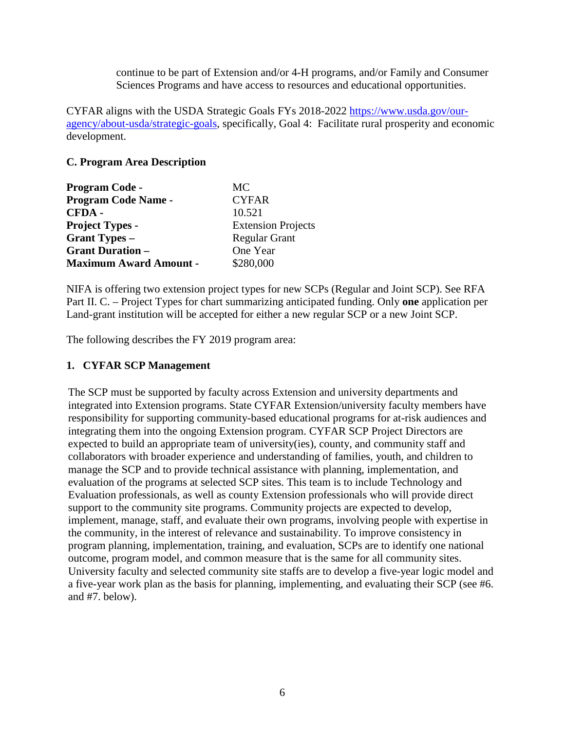continue to be part of Extension and/or 4-H programs, and/or Family and Consumer Sciences Programs and have access to resources and educational opportunities.

CYFAR aligns with the USDA Strategic Goals FYs 2018-2022 [https://www.usda.gov/our](https://www.usda.gov/our-agency/about-usda/strategic-goals)[agency/about-usda/strategic-goals,](https://www.usda.gov/our-agency/about-usda/strategic-goals) specifically, Goal 4: Facilitate rural prosperity and economic development.

#### <span id="page-5-0"></span>**C. Program Area Description**

| <b>Program Code -</b>         | MC.                       |  |
|-------------------------------|---------------------------|--|
| <b>Program Code Name -</b>    | <b>CYFAR</b>              |  |
| CFDA-                         | 10.521                    |  |
| <b>Project Types -</b>        | <b>Extension Projects</b> |  |
| <b>Grant Types –</b>          | <b>Regular Grant</b>      |  |
| <b>Grant Duration –</b>       | One Year                  |  |
| <b>Maximum Award Amount -</b> | \$280,000                 |  |

NIFA is offering two extension project types for new SCPs (Regular and Joint SCP). See RFA Part II. C. – Project Types for chart summarizing anticipated funding. Only **one** application per Land-grant institution will be accepted for either a new regular SCP or a new Joint SCP.

The following describes the FY 2019 program area:

#### **1. CYFAR SCP Management**

The SCP must be supported by faculty across Extension and university departments and integrated into Extension programs. State CYFAR Extension/university faculty members have responsibility for supporting community-based educational programs for at-risk audiences and integrating them into the ongoing Extension program. CYFAR SCP Project Directors are expected to build an appropriate team of university(ies), county, and community staff and collaborators with broader experience and understanding of families, youth, and children to manage the SCP and to provide technical assistance with planning, implementation, and evaluation of the programs at selected SCP sites. This team is to include Technology and Evaluation professionals, as well as county Extension professionals who will provide direct support to the community site programs. Community projects are expected to develop, implement, manage, staff, and evaluate their own programs, involving people with expertise in the community, in the interest of relevance and sustainability. To improve consistency in program planning, implementation, training, and evaluation, SCPs are to identify one national outcome, program model, and common measure that is the same for all community sites. University faculty and selected community site staffs are to develop a five-year logic model and a five-year work plan as the basis for planning, implementing, and evaluating their SCP (see #6. and #7. below).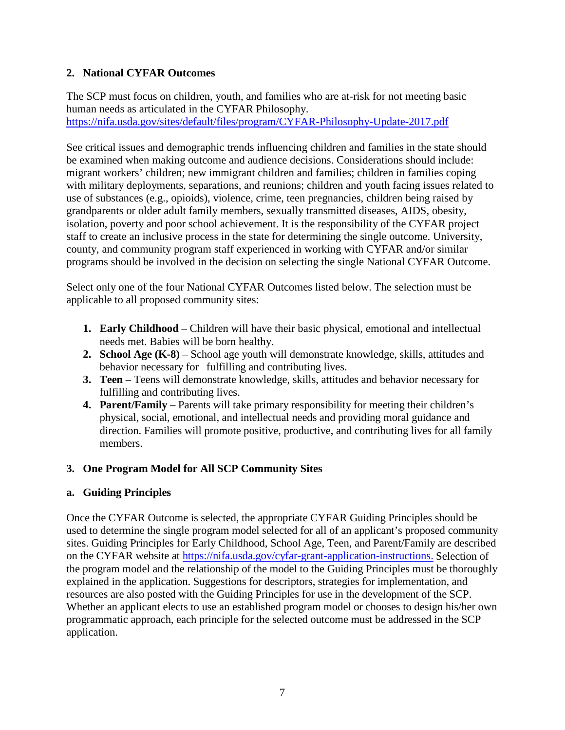#### **2. National CYFAR Outcomes**

The SCP must focus on children, youth, and families who are at-risk for not meeting basic human needs as articulated in the CYFAR Philosophy. <https://nifa.usda.gov/sites/default/files/program/CYFAR-Philosophy-Update-2017.pdf>

See critical issues and demographic trends influencing children and families in the state should be examined when making outcome and audience decisions. Considerations should include: migrant workers' children; new immigrant children and families; children in families coping with military deployments, separations, and reunions; children and youth facing issues related to use of substances (e.g., opioids), violence, crime, teen pregnancies, children being raised by grandparents or older adult family members, sexually transmitted diseases, AIDS, obesity, isolation, poverty and poor school achievement. It is the responsibility of the CYFAR project staff to create an inclusive process in the state for determining the single outcome. University, county, and community program staff experienced in working with CYFAR and/or similar programs should be involved in the decision on selecting the single National CYFAR Outcome.

Select only one of the four National CYFAR Outcomes listed below. The selection must be applicable to all proposed community sites:

- **1. Early Childhood** Children will have their basic physical, emotional and intellectual needs met. Babies will be born healthy.
- **2. School Age (K-8)** School age youth will demonstrate knowledge, skills, attitudes and behavior necessary for fulfilling and contributing lives.
- **3. Teen** Teens will demonstrate knowledge, skills, attitudes and behavior necessary for fulfilling and contributing lives.
- **4. Parent/Family** Parents will take primary responsibility for meeting their children's physical, social, emotional, and intellectual needs and providing moral guidance and direction. Families will promote positive, productive, and contributing lives for all family members.

# **3. One Program Model for All SCP Community Sites**

#### **a. Guiding Principles**

Once the CYFAR Outcome is selected, the appropriate CYFAR Guiding Principles should be used to determine the single program model selected for all of an applicant's proposed community sites. Guiding Principles for Early Childhood, School Age, Teen, and Parent/Family are described on the CYFAR website at [https://nifa.usda.gov/cyfar-grant-application-instructions.](https://nifa.usda.gov/cyfar-grant-application-instructions) Selection of the program model and the relationship of the model to the Guiding Principles must be thoroughly explained in the application. Suggestions for descriptors, strategies for implementation, and resources are also posted with the Guiding Principles for use in the development of the SCP. Whether an applicant elects to use an established program model or chooses to design his/her own programmatic approach, each principle for the selected outcome must be addressed in the SCP application.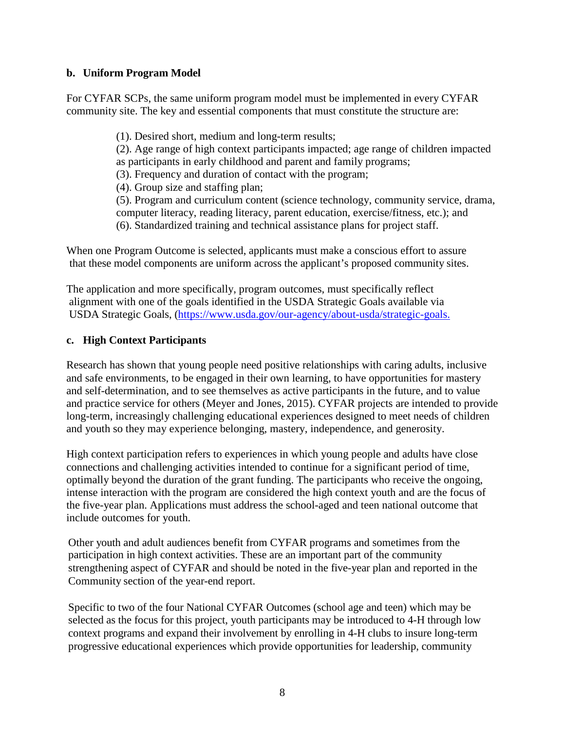#### **b. Uniform Program Model**

For CYFAR SCPs, the same uniform program model must be implemented in every CYFAR community site. The key and essential components that must constitute the structure are:

> (1). Desired short, medium and long-term results; (2). Age range of high context participants impacted; age range of children impacted as participants in early childhood and parent and family programs; (3). Frequency and duration of contact with the program; (4). Group size and staffing plan;

> (5). Program and curriculum content (science technology, community service, drama, computer literacy, reading literacy, parent education, exercise/fitness, etc.); and (6). Standardized training and technical assistance plans for project staff.

When one Program Outcome is selected, applicants must make a conscious effort to assure that these model components are uniform across the applicant's proposed community sites.

The application and more specifically, program outcomes, must specifically reflect alignment with one of the goals identified in the USDA Strategic Goals available via USDA Strategic Goals, [\(https://www.usda.gov/our-agency/about-usda/strategic-goals.](https://www.usda.gov/our-agency/about-usda/strategic-goals)

#### **c. High Context Participants**

Research has shown that young people need positive relationships with caring adults, inclusive and safe environments, to be engaged in their own learning, to have opportunities for mastery and self-determination, and to see themselves as active participants in the future, and to value and practice service for others (Meyer and Jones, 2015). CYFAR projects are intended to provide long-term, increasingly challenging educational experiences designed to meet needs of children and youth so they may experience belonging, mastery, independence, and generosity.

High context participation refers to experiences in which young people and adults have close connections and challenging activities intended to continue for a significant period of time, optimally beyond the duration of the grant funding. The participants who receive the ongoing, intense interaction with the program are considered the high context youth and are the focus of the five-year plan. Applications must address the school-aged and teen national outcome that include outcomes for youth.

Other youth and adult audiences benefit from CYFAR programs and sometimes from the participation in high context activities. These are an important part of the community strengthening aspect of CYFAR and should be noted in the five-year plan and reported in the Community section of the year-end report.

Specific to two of the four National CYFAR Outcomes (school age and teen) which may be selected as the focus for this project, youth participants may be introduced to 4-H through low context programs and expand their involvement by enrolling in 4-H clubs to insure long-term progressive educational experiences which provide opportunities for leadership, community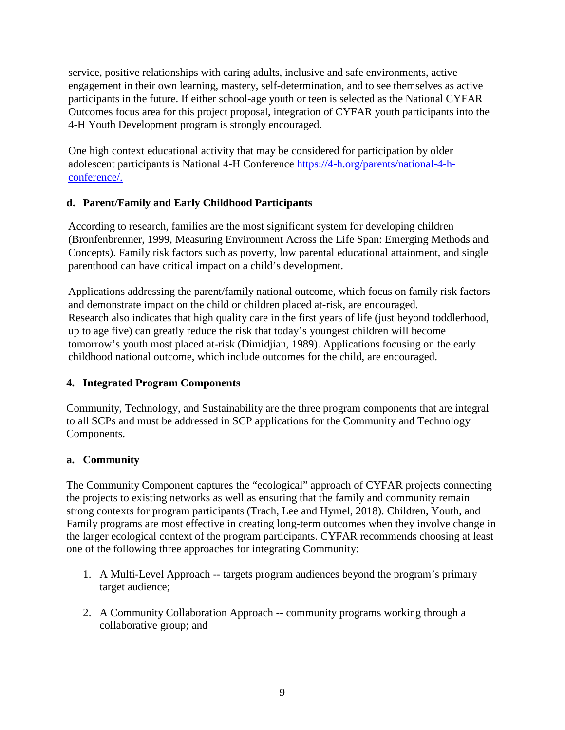service, positive relationships with caring adults, inclusive and safe environments, active engagement in their own learning, mastery, self-determination, and to see themselves as active participants in the future. If either school-age youth or teen is selected as the National CYFAR Outcomes focus area for this project proposal, integration of CYFAR youth participants into the 4-H Youth Development program is strongly encouraged.

One high context educational activity that may be considered for participation by older adolescent participants is National 4-H Conference [https://4-h.org/parents/national-4-h](https://4-h.org/parents/national-4-h-conference/)[conference/.](https://4-h.org/parents/national-4-h-conference/)

# **d. Parent/Family and Early Childhood Participants**

According to research, families are the most significant system for developing children (Bronfenbrenner, 1999, Measuring Environment Across the Life Span: Emerging Methods and Concepts). Family risk factors such as poverty, low parental educational attainment, and single parenthood can have critical impact on a child's development.

Applications addressing the parent/family national outcome, which focus on family risk factors and demonstrate impact on the child or children placed at-risk, are encouraged. Research also indicates that high quality care in the first years of life (just beyond toddlerhood, up to age five) can greatly reduce the risk that today's youngest children will become tomorrow's youth most placed at-risk (Dimidjian, 1989). Applications focusing on the early childhood national outcome, which include outcomes for the child, are encouraged.

# **4. Integrated Program Components**

Community, Technology, and Sustainability are the three program components that are integral to all SCPs and must be addressed in SCP applications for the Community and Technology Components.

# **a. Community**

The Community Component captures the "ecological" approach of CYFAR projects connecting the projects to existing networks as well as ensuring that the family and community remain strong contexts for program participants (Trach, Lee and Hymel, 2018). Children, Youth, and Family programs are most effective in creating long-term outcomes when they involve change in the larger ecological context of the program participants. CYFAR recommends choosing at least one of the following three approaches for integrating Community:

- 1. A Multi-Level Approach -- targets program audiences beyond the program's primary target audience;
- 2. A Community Collaboration Approach -- community programs working through a collaborative group; and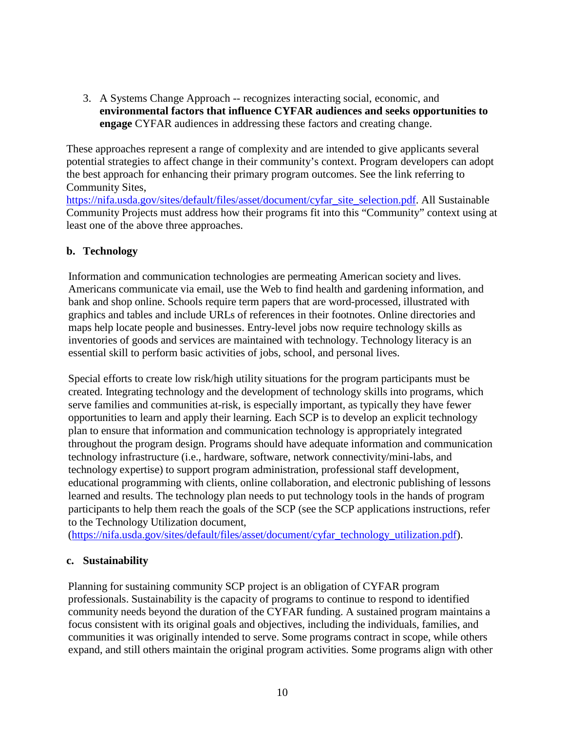3. A Systems Change Approach -- recognizes interacting social, economic, and **environmental factors that influence CYFAR audiences and seeks opportunities to engage** CYFAR audiences in addressing these factors and creating change.

These approaches represent a range of complexity and are intended to give applicants several potential strategies to affect change in their community's context. Program developers can adopt the best approach for enhancing their primary program outcomes. See the link referring to Community Sites,

[https://nifa.usda.gov/sites/default/files/asset/document/cyfar\\_site\\_selection.pdf.](https://nifa.usda.gov/sites/default/files/asset/document/cyfar_site_selection.pdf) All Sustainable Community Projects must address how their programs fit into this "Community" context using at least one of the above three approaches.

#### **b. Technology**

Information and communication technologies are permeating American society and lives. Americans communicate via email, use the Web to find health and gardening information, and bank and shop online. Schools require term papers that are word-processed, illustrated with graphics and tables and include URLs of references in their footnotes. Online directories and maps help locate people and businesses. Entry-level jobs now require technology skills as inventories of goods and services are maintained with technology. Technology literacy is an essential skill to perform basic activities of jobs, school, and personal lives.

Special efforts to create low risk/high utility situations for the program participants must be created. Integrating technology and the development of technology skills into programs, which serve families and communities at-risk, is especially important, as typically they have fewer opportunities to learn and apply their learning. Each SCP is to develop an explicit technology plan to ensure that information and communication technology is appropriately integrated throughout the program design. Programs should have adequate information and communication technology infrastructure (i.e., hardware, software, network connectivity/mini-labs, and technology expertise) to support program administration, professional staff development, educational programming with clients, online collaboration, and electronic publishing of lessons learned and results. The technology plan needs to put technology tools in the hands of program participants to help them reach the goals of the SCP (see the SCP applications instructions, refer to the Technology Utilization document,

[\(https://nifa.usda.gov/sites/default/files/asset/document/cyfar\\_technology\\_utilization.pdf\)](https://nifa.usda.gov/sites/default/files/asset/document/cyfar_technology_utilization.pdf).

#### **c. Sustainability**

Planning for sustaining community SCP project is an obligation of CYFAR program professionals. Sustainability is the capacity of programs to continue to respond to identified community needs beyond the duration of the CYFAR funding. A sustained program maintains a focus consistent with its original goals and objectives, including the individuals, families, and communities it was originally intended to serve. Some programs contract in scope, while others expand, and still others maintain the original program activities. Some programs align with other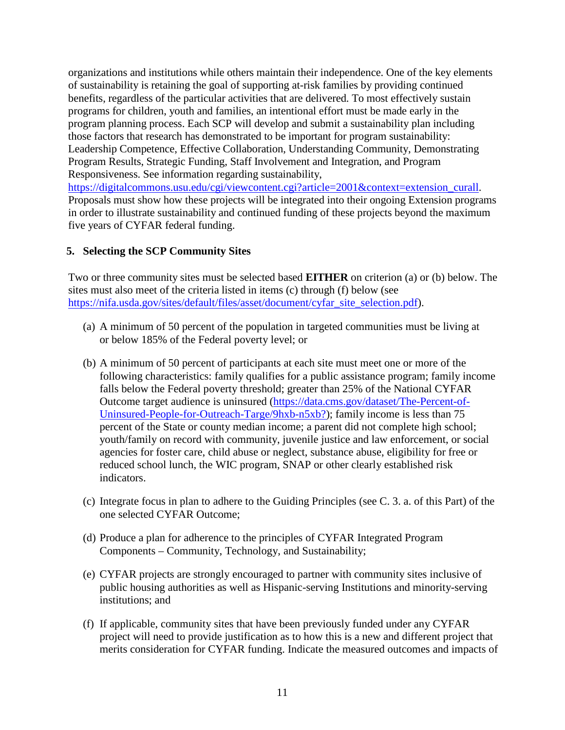organizations and institutions while others maintain their independence. One of the key elements of sustainability is retaining the goal of supporting at-risk families by providing continued benefits, regardless of the particular activities that are delivered. To most effectively sustain programs for children, youth and families, an intentional effort must be made early in the program planning process. Each SCP will develop and submit a sustainability plan including those factors that research has demonstrated to be important for program sustainability: Leadership Competence, Effective Collaboration, Understanding Community, Demonstrating Program Results, Strategic Funding, Staff Involvement and Integration, and Program Responsiveness. See information regarding sustainability, [https://digitalcommons.usu.edu/cgi/viewcontent.cgi?article=2001&context=extension\\_curall.](https://digitalcommons.usu.edu/cgi/viewcontent.cgi?article=2001&context=extension_curall) Proposals must show how these projects will be integrated into their ongoing Extension programs in order to illustrate sustainability and continued funding of these projects beyond the maximum five years of CYFAR federal funding.

#### **5. Selecting the SCP Community Sites**

Two or three community sites must be selected based **EITHER** on criterion (a) or (b) below. The sites must also meet of the criteria listed in items (c) through (f) below (see [https://nifa.usda.gov/sites/default/files/asset/document/cyfar\\_site\\_selection.pdf\)](https://nifa.usda.gov/sites/default/files/asset/document/cyfar_site_selection.pdf).

- (a) A minimum of 50 percent of the population in targeted communities must be living at or below 185% of the Federal poverty level; or
- (b) A minimum of 50 percent of participants at each site must meet one or more of the following characteristics: family qualifies for a public assistance program; family income falls below the Federal poverty threshold; greater than 25% of the National CYFAR Outcome target audience is uninsured [\(https://data.cms.gov/dataset/The-Percent-of-](https://data.cms.gov/dataset/The-Percent-of-Uninsured-People-for-Outreach-Targe/9hxb-n5xb?%20)[Uninsured-People-for-Outreach-Targe/9hxb-n5xb?\)](https://data.cms.gov/dataset/The-Percent-of-Uninsured-People-for-Outreach-Targe/9hxb-n5xb?%20); family income is less than 75 percent of the State or county median income; a parent did not complete high school; youth/family on record with community, juvenile justice and law enforcement, or social agencies for foster care, child abuse or neglect, substance abuse, eligibility for free or reduced school lunch, the WIC program, SNAP or other clearly established risk indicators.
- (c) Integrate focus in plan to adhere to the Guiding Principles (see C. 3. a. of this Part) of the one selected CYFAR Outcome;
- (d) Produce a plan for adherence to the principles of CYFAR Integrated Program Components – Community, Technology, and Sustainability;
- (e) CYFAR projects are strongly encouraged to partner with community sites inclusive of public housing authorities as well as Hispanic-serving Institutions and minority-serving institutions; and
- (f) If applicable, community sites that have been previously funded under any CYFAR project will need to provide justification as to how this is a new and different project that merits consideration for CYFAR funding. Indicate the measured outcomes and impacts of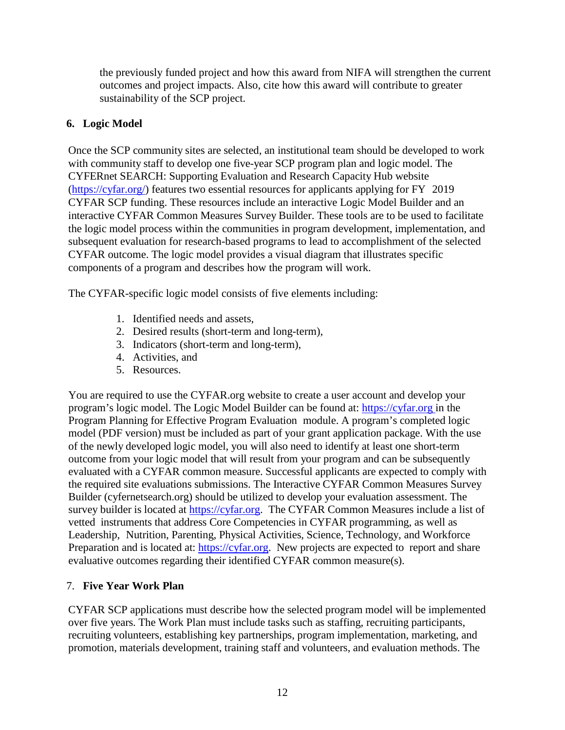the previously funded project and how this award from NIFA will strengthen the current outcomes and project impacts. Also, cite how this award will contribute to greater sustainability of the SCP project.

#### **6. Logic Model**

Once the SCP community sites are selected, an institutional team should be developed to work with community staff to develop one five-year SCP program plan and logic model. The CYFERnet SEARCH: Supporting Evaluation and Research Capacity Hub website [\(https://cyfar.org/\)](https://cyfar.org/) features two essential resources for applicants applying for FY 2019 CYFAR SCP funding. These resources include an interactive Logic Model Builder and an interactive CYFAR Common Measures Survey Builder. These tools are to be used to facilitate the logic model process within the communities in program development, implementation, and subsequent evaluation for research-based programs to lead to accomplishment of the selected CYFAR outcome. The logic model provides a visual diagram that illustrates specific components of a program and describes how the program will work.

The CYFAR-specific logic model consists of five elements including:

- 1. Identified needs and assets,
- 2. Desired results (short-term and long-term),
- 3. Indicators (short-term and long-term),
- 4. Activities, and
- 5. Resources.

You are required to use the CYFAR.org website to create a user account and develop your program's logic model. The Logic Model Builder can be found at: [https://cyfar.org](https://cyfar.org/) in the Program Planning for Effective Program Evaluation module. A program's completed logic model (PDF version) must be included as part of your grant application package. With the use of the newly developed logic model, you will also need to identify at least one short-term outcome from your logic model that will result from your program and can be subsequently evaluated with a CYFAR common measure. Successful applicants are expected to comply with the required site evaluations submissions. The Interactive CYFAR Common Measures Survey Builder (cyfernetsearch.org) should be utilized to develop your evaluation assessment. The survey builder is located at [https://cyfar.org](https://cyfar.org/)[.](https://cyfernetsearch.org/tools) The CYFAR Common Measures include a list of vetted instruments that address Core Competencies in CYFAR programming, as well as Leadership, Nutrition, Parenting, Physical Activities, Science, Technology, and Workforce Preparation and is located at: [https://cyfar.org.](https://cyfar.org/) New projects are expected to report and share evaluative outcomes regarding their identified CYFAR common measure(s).

# 7. **Five Year Work Plan**

CYFAR SCP applications must describe how the selected program model will be implemented over five years. The Work Plan must include tasks such as staffing, recruiting participants, recruiting volunteers, establishing key partnerships, program implementation, marketing, and promotion, materials development, training staff and volunteers, and evaluation methods. The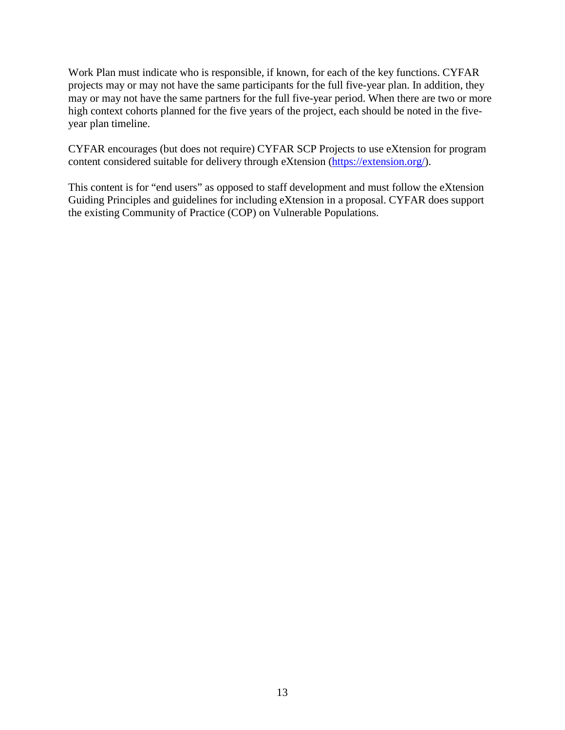Work Plan must indicate who is responsible, if known, for each of the key functions. CYFAR projects may or may not have the same participants for the full five-year plan. In addition, they may or may not have the same partners for the full five-year period. When there are two or more high context cohorts planned for the five years of the project, each should be noted in the fiveyear plan timeline.

CYFAR encourages (but does not require) CYFAR SCP Projects to use eXtension for program content considered suitable for delivery through eXtension [\(https://extension.org/\)](https://extension.org/).

This content is for "end users" as opposed to staff development and must follow the eXtension Guiding Principles and guidelines for including eXtension in a proposal. CYFAR does support the existing Community of Practice (COP) on Vulnerable Populations.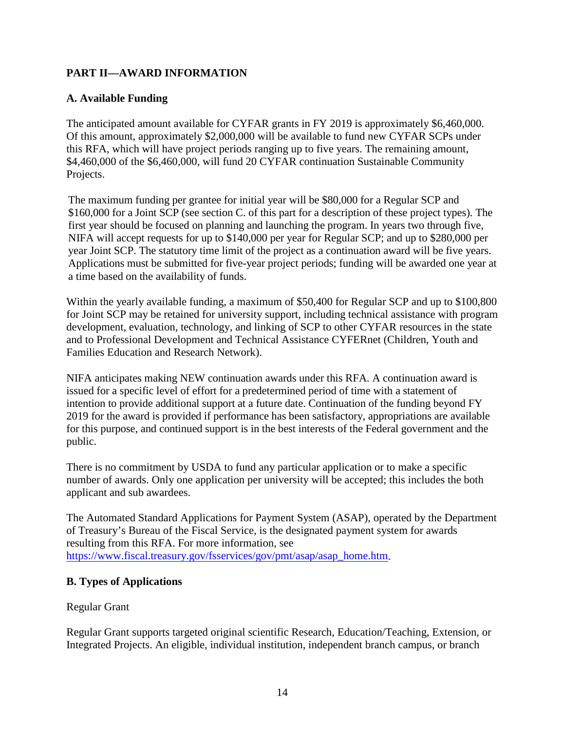# <span id="page-13-0"></span>**PART II—AWARD INFORMATION**

#### <span id="page-13-1"></span>**A. Available Funding**

The anticipated amount available for CYFAR grants in FY 2019 is approximately \$6,460,000. Of this amount, approximately \$2,000,000 will be available to fund new CYFAR SCPs under this RFA, which will have project periods ranging up to five years. The remaining amount, \$4,460,000 of the \$6,460,000, will fund 20 CYFAR continuation Sustainable Community Projects.

The maximum funding per grantee for initial year will be \$80,000 for a Regular SCP and \$160,000 for a Joint SCP (see section C. of this part for a description of these project types). The first year should be focused on planning and launching the program. In years two through five, NIFA will accept requests for up to \$140,000 per year for Regular SCP; and up to \$280,000 per year Joint SCP. The statutory time limit of the project as a continuation award will be five years. Applications must be submitted for five-year project periods; funding will be awarded one year at a time based on the availability of funds.

Within the yearly available funding, a maximum of \$50,400 for Regular SCP and up to \$100,800 for Joint SCP may be retained for university support, including technical assistance with program development, evaluation, technology, and linking of SCP to other CYFAR resources in the state and to Professional Development and Technical Assistance CYFERnet (Children, Youth and Families Education and Research Network).

NIFA anticipates making NEW continuation awards under this RFA. A continuation award is issued for a specific level of effort for a predetermined period of time with a statement of intention to provide additional support at a future date. Continuation of the funding beyond FY 2019 for the award is provided if performance has been satisfactory, appropriations are available for this purpose, and continued support is in the best interests of the Federal government and the public.

There is no commitment by USDA to fund any particular application or to make a specific number of awards. Only one application per university will be accepted; this includes the both applicant and sub awardees.

The Automated Standard Applications for Payment System (ASAP), operated by the Department of Treasury's Bureau of the Fiscal Service, is the designated payment system for awards resulting from this RFA. For more information, see [https://www.fiscal.treasury.gov/fsservices/gov/pmt/asap/asap\\_home.htm.](https://www.fiscal.treasury.gov/fsservices/gov/pmt/asap/asap_home.htm)

#### <span id="page-13-2"></span>**B. Types of Applications**

#### Regular Grant

Regular Grant supports targeted original scientific Research, Education/Teaching, Extension, or Integrated Projects. An eligible, individual institution, independent branch campus, or branch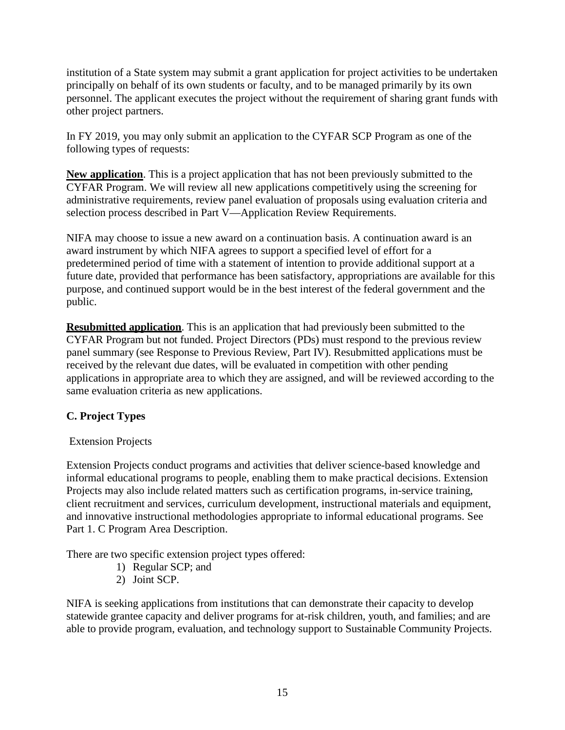institution of a State system may submit a grant application for project activities to be undertaken principally on behalf of its own students or faculty, and to be managed primarily by its own personnel. The applicant executes the project without the requirement of sharing grant funds with other project partners.

In FY 2019, you may only submit an application to the CYFAR SCP Program as one of the following types of requests:

**New application**. This is a project application that has not been previously submitted to the CYFAR Program. We will review all new applications competitively using the screening for administrative requirements, review panel evaluation of proposals using evaluation criteria and selection process described in Part V—Application Review Requirements.

NIFA may choose to issue a new award on a continuation basis. A continuation award is an award instrument by which NIFA agrees to support a specified level of effort for a predetermined period of time with a statement of intention to provide additional support at a future date, provided that performance has been satisfactory, appropriations are available for this purpose, and continued support would be in the best interest of the federal government and the public.

**Resubmitted application**. This is an application that had previously been submitted to the CYFAR Program but not funded. Project Directors (PDs) must respond to the previous review panel summary (see Response to Previous Review, Part IV). Resubmitted applications must be received by the relevant due dates, will be evaluated in competition with other pending applications in appropriate area to which they are assigned, and will be reviewed according to the same evaluation criteria as new applications.

# <span id="page-14-0"></span>**C. Project Types**

# Extension Projects

Extension Projects conduct programs and activities that deliver science-based knowledge and informal educational programs to people, enabling them to make practical decisions. Extension Projects may also include related matters such as certification programs, in-service training, client recruitment and services, curriculum development, instructional materials and equipment, and innovative instructional methodologies appropriate to informal educational programs. See Part 1. C Program Area Description.

There are two specific extension project types offered:

- 1) Regular SCP; and
- 2) Joint SCP.

NIFA is seeking applications from institutions that can demonstrate their capacity to develop statewide grantee capacity and deliver programs for at-risk children, youth, and families; and are able to provide program, evaluation, and technology support to Sustainable Community Projects.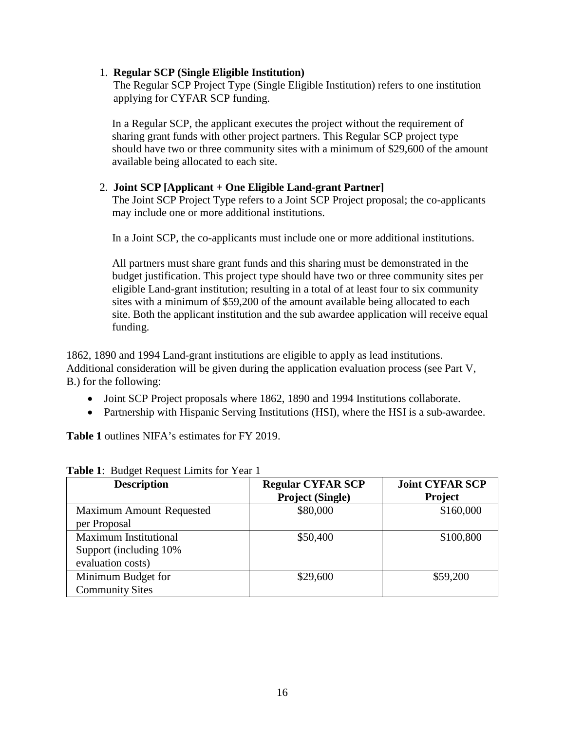#### 1. **Regular SCP (Single Eligible Institution)**

 The Regular SCP Project Type (Single Eligible Institution) refers to one institution applying for CYFAR SCP funding.

In a Regular SCP, the applicant executes the project without the requirement of sharing grant funds with other project partners. This Regular SCP project type should have two or three community sites with a minimum of \$29,600 of the amount available being allocated to each site.

#### 2. **Joint SCP [Applicant + One Eligible Land-grant Partner]**

The Joint SCP Project Type refers to a Joint SCP Project proposal; the co-applicants may include one or more additional institutions.

In a Joint SCP, the co-applicants must include one or more additional institutions.

All partners must share grant funds and this sharing must be demonstrated in the budget justification. This project type should have two or three community sites per eligible Land-grant institution; resulting in a total of at least four to six community sites with a minimum of \$59,200 of the amount available being allocated to each site. Both the applicant institution and the sub awardee application will receive equal funding.

1862, 1890 and 1994 Land-grant institutions are eligible to apply as lead institutions. Additional consideration will be given during the application evaluation process (see Part V, B.) for the following:

- Joint SCP Project proposals where 1862, 1890 and 1994 Institutions collaborate.
- Partnership with Hispanic Serving Institutions (HSI), where the HSI is a sub-awardee.

**Table 1** outlines NIFA's estimates for FY 2019.

| <b>Description</b>           | <b>Regular CYFAR SCP</b> | <b>Joint CYFAR SCP</b> |
|------------------------------|--------------------------|------------------------|
|                              | <b>Project (Single)</b>  | Project                |
| Maximum Amount Requested     | \$80,000                 | \$160,000              |
| per Proposal                 |                          |                        |
| <b>Maximum Institutional</b> | \$50,400                 | \$100,800              |
| Support (including 10%)      |                          |                        |
| evaluation costs)            |                          |                        |
| Minimum Budget for           | \$29,600                 | \$59,200               |
| <b>Community Sites</b>       |                          |                        |

<span id="page-15-0"></span>**Table 1**: Budget Request Limits for Year 1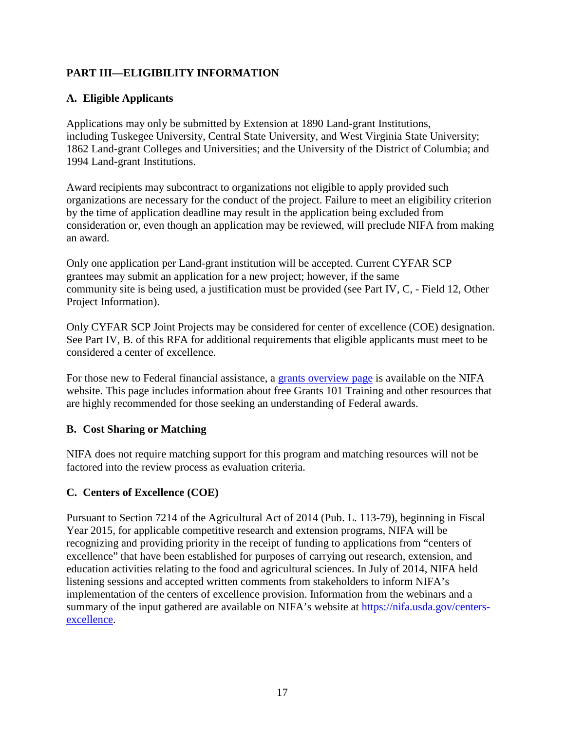# <span id="page-16-0"></span>**PART III—ELIGIBILITY INFORMATION**

# <span id="page-16-1"></span>**A. Eligible Applicants**

Applications may only be submitted by Extension at 1890 Land-grant Institutions, including Tuskegee University, Central State University, and West Virginia State University; 1862 Land-grant Colleges and Universities; and the University of the District of Columbia; and 1994 Land-grant Institutions.

Award recipients may subcontract to organizations not eligible to apply provided such organizations are necessary for the conduct of the project. Failure to meet an eligibility criterion by the time of application deadline may result in the application being excluded from consideration or, even though an application may be reviewed, will preclude NIFA from making an award.

Only one application per Land-grant institution will be accepted. Current CYFAR SCP grantees may submit an application for a new project; however, if the same community site is being used, a justification must be provided (see Part IV, C, - Field 12, Other Project Information).

Only CYFAR SCP Joint Projects may be considered for center of excellence (COE) designation. See Part IV, B. of this RFA for additional requirements that eligible applicants must meet to be considered a center of excellence.

For those new to Federal financial assistance, a [grants overview page](https://nifa.usda.gov/resource/grants-overview) is available on the NIFA website. This page includes information about free Grants 101 Training and other resources that are highly recommended for those seeking an understanding of Federal awards.

#### <span id="page-16-2"></span>**B. Cost Sharing or Matching**

NIFA does not require matching support for this program and matching resources will not be factored into the review process as evaluation criteria.

#### <span id="page-16-3"></span>**C. Centers of Excellence (COE)**

Pursuant to Section 7214 of the Agricultural Act of 2014 (Pub. L. 113-79), beginning in Fiscal Year 2015, for applicable competitive research and extension programs, NIFA will be recognizing and providing priority in the receipt of funding to applications from "centers of excellence" that have been established for purposes of carrying out research, extension, and education activities relating to the food and agricultural sciences. In July of 2014, NIFA held listening sessions and accepted written comments from stakeholders to inform NIFA's implementation of the centers of excellence provision. Information from the webinars and a summary of the input gathered are available on NIFA's website at [https://nifa.usda.gov/centers](https://nifa.usda.gov/centers-excellence)[excellence.](https://nifa.usda.gov/centers-excellence)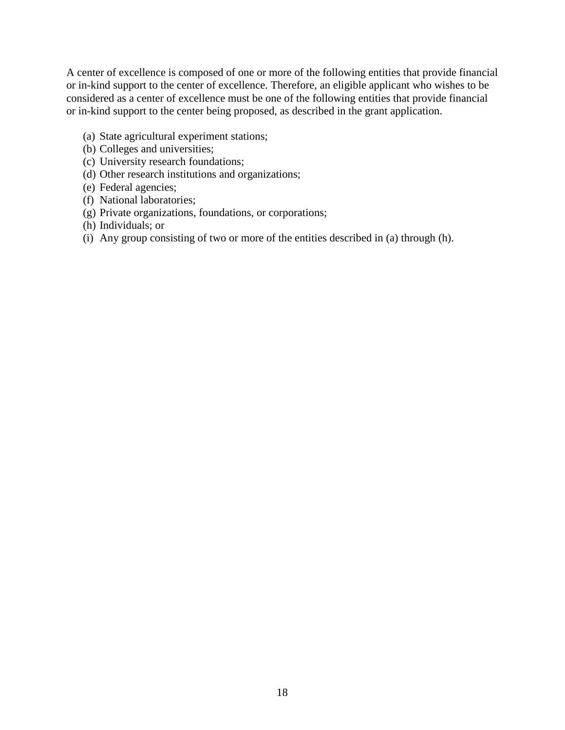A center of excellence is composed of one or more of the following entities that provide financial or in-kind support to the center of excellence. Therefore, an eligible applicant who wishes to be considered as a center of excellence must be one of the following entities that provide financial or in-kind support to the center being proposed, as described in the grant application.

- (a) State agricultural experiment stations;
- (b) Colleges and universities;
- (c) University research foundations;
- (d) Other research institutions and organizations;
- (e) Federal agencies;
- (f) National laboratories;
- (g) Private organizations, foundations, or corporations;
- (h) Individuals; or
- (i) Any group consisting of two or more of the entities described in (a) through (h).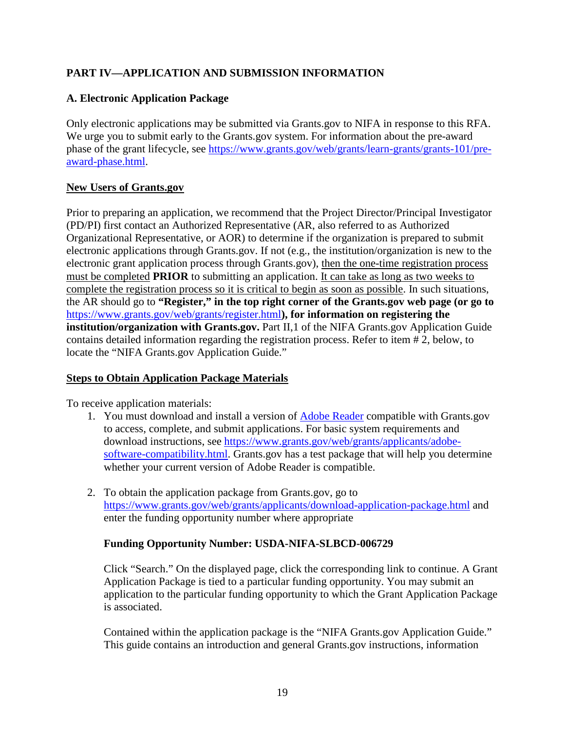# <span id="page-18-0"></span>**PART IV—APPLICATION AND SUBMISSION INFORMATION**

# <span id="page-18-1"></span>**A. Electronic Application Package**

Only electronic applications may be submitted via Grants.gov to NIFA in response to this RFA. We urge you to submit early to the Grants.gov system. For information about the pre-award phase of the grant lifecycle, see [https://www.grants.gov/web/grants/learn-grants/grants-101/pre](https://www.grants.gov/web/grants/learn-grants/grants-101/pre-award-phase.html)[award-phase.html.](https://www.grants.gov/web/grants/learn-grants/grants-101/pre-award-phase.html)

#### **New Users of Grants.gov**

Prior to preparing an application, we recommend that the Project Director/Principal Investigator (PD/PI) first contact an Authorized Representative (AR, also referred to as Authorized Organizational Representative, or AOR) to determine if the organization is prepared to submit electronic applications through Grants.gov. If not (e.g., the institution/organization is new to the electronic grant application process through Grants.gov), then the one-time registration process must be completed **PRIOR** to submitting an application. It can take as long as two weeks to complete the registration process so it is critical to begin as soon as possible. In such situations, the AR should go to **"Register," in the top right corner of the Grants.gov web page (or go to**  <https://www.grants.gov/web/grants/register.html>**), for information on registering the institution/organization with Grants.gov.** Part II, 1 of the NIFA Grants.gov Application Guide contains detailed information regarding the registration process. Refer to item # 2, below, to locate the "NIFA Grants.gov Application Guide."

#### **Steps to Obtain Application Package Materials**

To receive application materials:

- 1. You must download and install a version of [Adobe Reader](https://get.adobe.com/reader/) compatible with Grants.gov to access, complete, and submit applications. For basic system requirements and download instructions, see [https://www.grants.gov/web/grants/applicants/adobe](https://www.grants.gov/web/grants/applicants/adobe-software-compatibility.html)[software-compatibility.html.](https://www.grants.gov/web/grants/applicants/adobe-software-compatibility.html) Grants.gov has a test package that will help you determine whether your current version of Adobe Reader is compatible.
- 2. To obtain the application package from Grants.gov, go to <https://www.grants.gov/web/grants/applicants/download-application-package.html> and enter the funding opportunity number where appropriate

#### **Funding Opportunity Number: USDA-NIFA-SLBCD-006729**

Click "Search." On the displayed page, click the corresponding link to continue. A Grant Application Package is tied to a particular funding opportunity. You may submit an application to the particular funding opportunity to which the Grant Application Package is associated.

Contained within the application package is the "NIFA Grants.gov Application Guide." This guide contains an introduction and general Grants.gov instructions, information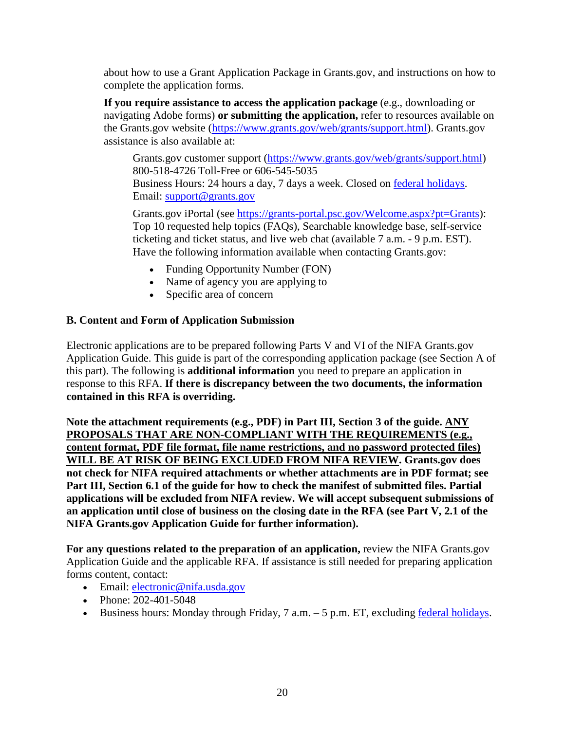about how to use a Grant Application Package in Grants.gov, and instructions on how to complete the application forms.

**If you require assistance to access the application package** (e.g., downloading or navigating Adobe forms) **or submitting the application,** refer to resources available on the Grants.gov website [\(https://www.grants.gov/web/grants/support.html\)](https://www.grants.gov/web/grants/support.html). Grants.gov assistance is also available at:

Grants.gov customer support [\(https://www.grants.gov/web/grants/support.html\)](https://www.grants.gov/web/grants/support.html) 800-518-4726 Toll-Free or 606-545-5035 Business Hours: 24 hours a day, 7 days a week. Closed on [federal holidays.](http://www.opm.gov/policy-data-oversight/snow-dismissal-procedures/federal-holidays/) Email: [support@grants.gov](mailto:support@grants.gov)

Grants.gov iPortal (see [https://grants-portal.psc.gov/Welcome.aspx?pt=Grants\)](https://grants-portal.psc.gov/Welcome.aspx?pt=Grants): Top 10 requested help topics (FAQs), Searchable knowledge base, self-service ticketing and ticket status, and live web chat (available 7 a.m. - 9 p.m. EST). Have the following information available when contacting Grants.gov:

- Funding Opportunity Number (FON)
- Name of agency you are applying to
- Specific area of concern

#### <span id="page-19-0"></span>**B. Content and Form of Application Submission**

Electronic applications are to be prepared following Parts V and VI of the NIFA Grants.gov Application Guide. This guide is part of the corresponding application package (see Section A of this part). The following is **additional information** you need to prepare an application in response to this RFA. **If there is discrepancy between the two documents, the information contained in this RFA is overriding.**

**Note the attachment requirements (e.g., PDF) in Part III, Section 3 of the guide. ANY PROPOSALS THAT ARE NON-COMPLIANT WITH THE REQUIREMENTS (e.g., content format, PDF file format, file name restrictions, and no password protected files) WILL BE AT RISK OF BEING EXCLUDED FROM NIFA REVIEW. Grants.gov does not check for NIFA required attachments or whether attachments are in PDF format; see Part III, Section 6.1 of the guide for how to check the manifest of submitted files. Partial applications will be excluded from NIFA review. We will accept subsequent submissions of an application until close of business on the closing date in the RFA (see Part V, 2.1 of the NIFA Grants.gov Application Guide for further information).**

**For any questions related to the preparation of an application,** review the NIFA Grants.gov Application Guide and the applicable RFA. If assistance is still needed for preparing application forms content, contact:

- Email: electronic@nifa.usda.gov
- Phone: 202-401-5048
- Business hours: Monday through Friday,  $7$  a.m.  $-5$  p.m. ET, excluding [federal holidays.](https://www.opm.gov/policy-data-oversight/snow-dismissal-procedures/federal-holidays/)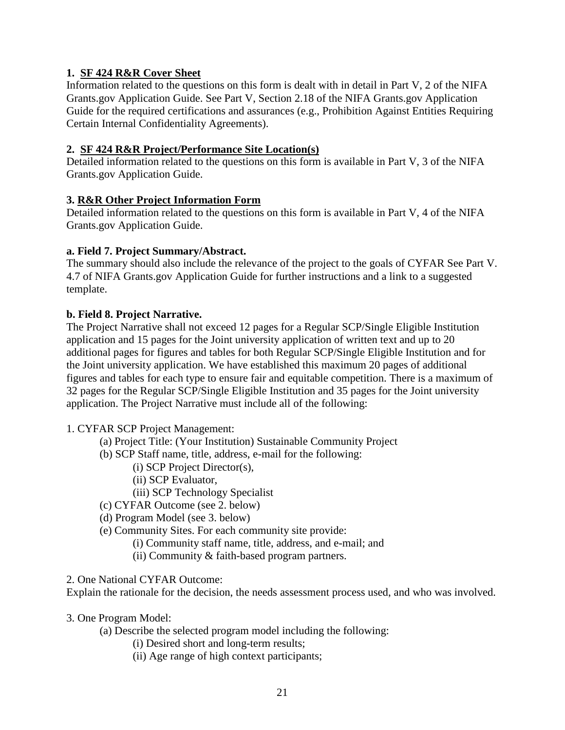#### **1. SF 424 R&R Cover Sheet**

Information related to the questions on this form is dealt with in detail in Part V, 2 of the NIFA Grants.gov Application Guide. See Part V, Section 2.18 of the NIFA Grants.gov Application Guide for the required certifications and assurances (e.g., Prohibition Against Entities Requiring Certain Internal Confidentiality Agreements).

#### **2. SF 424 R&R Project/Performance Site Location(s)**

Detailed information related to the questions on this form is available in Part V, 3 of the NIFA Grants.gov Application Guide.

# **3. R&R Other Project Information Form**

Detailed information related to the questions on this form is available in Part V, 4 of the NIFA Grants.gov Application Guide.

#### **a. Field 7. Project Summary/Abstract.**

The summary should also include the relevance of the project to the goals of CYFAR See Part V. 4.7 of NIFA Grants.gov Application Guide for further instructions and a link to a suggested template.

#### **b. Field 8. Project Narrative.**

The Project Narrative shall not exceed 12 pages for a Regular SCP/Single Eligible Institution application and 15 pages for the Joint university application of written text and up to 20 additional pages for figures and tables for both Regular SCP/Single Eligible Institution and for the Joint university application. We have established this maximum 20 pages of additional figures and tables for each type to ensure fair and equitable competition. There is a maximum of 32 pages for the Regular SCP/Single Eligible Institution and 35 pages for the Joint university application. The Project Narrative must include all of the following:

#### 1. CYFAR SCP Project Management:

- (a) Project Title: (Your Institution) Sustainable Community Project
- (b) SCP Staff name, title, address, e-mail for the following:
	- (i) SCP Project Director(s),
	- (ii) SCP Evaluator,
	- (iii) SCP Technology Specialist
- (c) CYFAR Outcome (see 2. below)
- (d) Program Model (see 3. below)
- (e) Community Sites. For each community site provide:
	- (i) Community staff name, title, address, and e-mail; and
		- (ii) Community & faith-based program partners.
- 2. One National CYFAR Outcome:

Explain the rationale for the decision, the needs assessment process used, and who was involved.

- 3. One Program Model:
	- (a) Describe the selected program model including the following:
		- (i) Desired short and long-term results;
		- (ii) Age range of high context participants;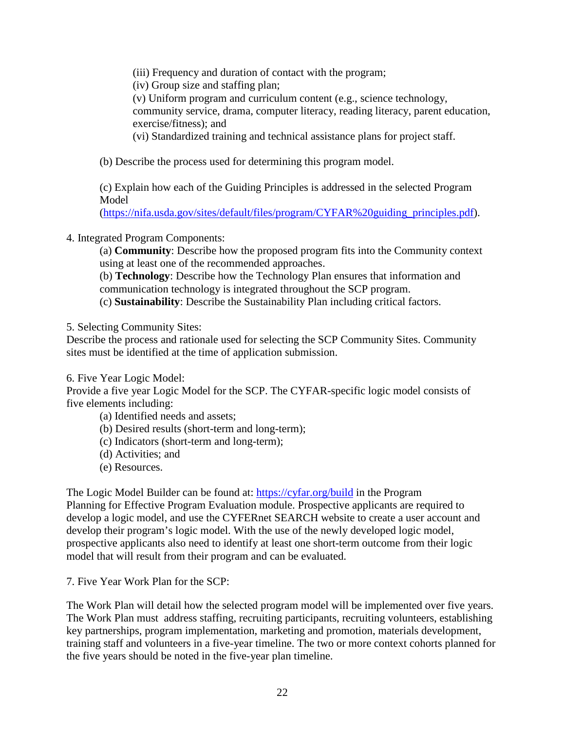(iii) Frequency and duration of contact with the program;

(iv) Group size and staffing plan;

(v) Uniform program and curriculum content (e.g., science technology,

community service, drama, computer literacy, reading literacy, parent education, exercise/fitness); and

(vi) Standardized training and technical assistance plans for project staff.

(b) Describe the process used for determining this program model.

(c) Explain how each of the Guiding Principles is addressed in the selected Program **Model** 

[\(https://nifa.usda.gov/sites/default/files/program/CYFAR%20guiding\\_principles.pdf\)](https://nifa.usda.gov/sites/default/files/program/CYFAR%20guiding_principles.pdf).

#### 4. Integrated Program Components:

(a) **Community**: Describe how the proposed program fits into the Community context using at least one of the recommended approaches.

(b) **Technology**: Describe how the Technology Plan ensures that information and communication technology is integrated throughout the SCP program.

(c) **Sustainability**: Describe the Sustainability Plan including critical factors.

5. Selecting Community Sites:

Describe the process and rationale used for selecting the SCP Community Sites. Community sites must be identified at the time of application submission.

6. Five Year Logic Model:

Provide a five year Logic Model for the SCP. The CYFAR-specific logic model consists of five elements including:

(a) Identified needs and assets;

(b) Desired results (short-term and long-term);

- (c) Indicators (short-term and long-term);
- (d) Activities; and
- (e) Resources.

The Logic Model Builder can be found at:<https://cyfar.org/build> in the Program Planning for Effective Program Evaluation module. Prospective applicants are required to develop a logic model, and use the CYFERnet SEARCH website to create a user account and develop their program's logic model. With the use of the newly developed logic model, prospective applicants also need to identify at least one short-term outcome from their logic model that will result from their program and can be evaluated.

7. Five Year Work Plan for the SCP:

The Work Plan will detail how the selected program model will be implemented over five years. The Work Plan must address staffing, recruiting participants, recruiting volunteers, establishing key partnerships, program implementation, marketing and promotion, materials development, training staff and volunteers in a five-year timeline. The two or more context cohorts planned for the five years should be noted in the five-year plan timeline.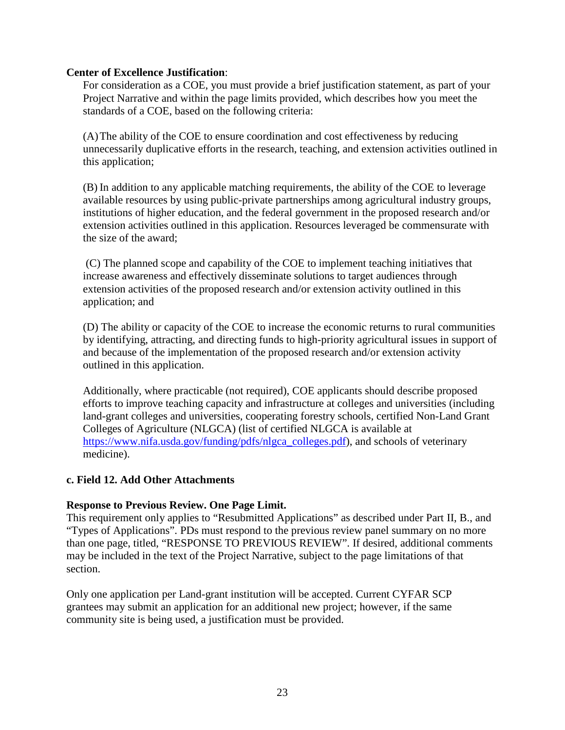#### **Center of Excellence Justification**:

For consideration as a COE, you must provide a brief justification statement, as part of your Project Narrative and within the page limits provided, which describes how you meet the standards of a COE, based on the following criteria:

(A)The ability of the COE to ensure coordination and cost effectiveness by reducing unnecessarily duplicative efforts in the research, teaching, and extension activities outlined in this application;

(B) In addition to any applicable matching requirements, the ability of the COE to leverage available resources by using public-private partnerships among agricultural industry groups, institutions of higher education, and the federal government in the proposed research and/or extension activities outlined in this application. Resources leveraged be commensurate with the size of the award;

(C) The planned scope and capability of the COE to implement teaching initiatives that increase awareness and effectively disseminate solutions to target audiences through extension activities of the proposed research and/or extension activity outlined in this application; and

(D) The ability or capacity of the COE to increase the economic returns to rural communities by identifying, attracting, and directing funds to high-priority agricultural issues in support of and because of the implementation of the proposed research and/or extension activity outlined in this application.

Additionally, where practicable (not required), COE applicants should describe proposed efforts to improve teaching capacity and infrastructure at colleges and universities (including land-grant colleges and universities, cooperating forestry schools, certified Non-Land Grant Colleges of Agriculture (NLGCA) (list of certified NLGCA is available at [https://www.nifa.usda.gov/funding/pdfs/nlgca\\_colleges.pdf\)](https://www.nifa.usda.gov/funding/pdfs/nlgca_colleges.pdf), and schools of veterinary medicine).

#### **c. Field 12. Add Other Attachments**

#### **Response to Previous Review. One Page Limit.**

This requirement only applies to "Resubmitted Applications" as described under Part II, B., and "Types of Applications". PDs must respond to the previous review panel summary on no more than one page, titled, "RESPONSE TO PREVIOUS REVIEW". If desired, additional comments may be included in the text of the Project Narrative, subject to the page limitations of that section.

Only one application per Land-grant institution will be accepted. Current CYFAR SCP grantees may submit an application for an additional new project; however, if the same community site is being used, a justification must be provided.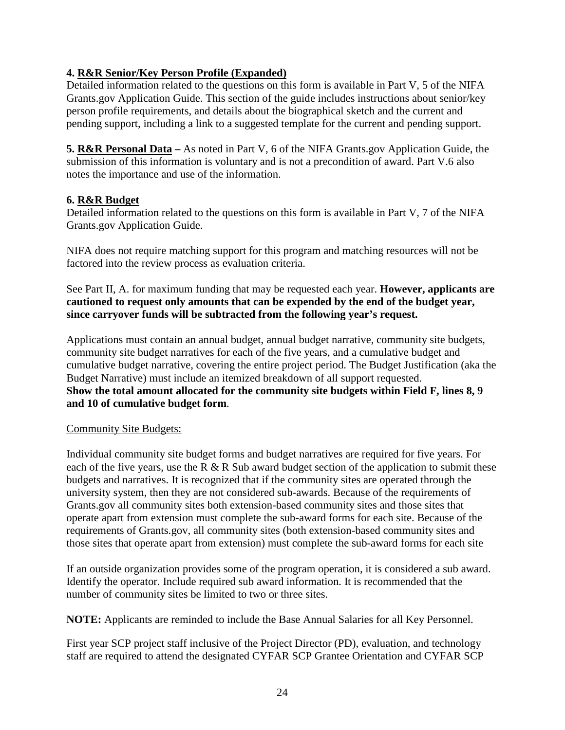#### **4. R&R Senior/Key Person Profile (Expanded)**

Detailed information related to the questions on this form is available in Part V, 5 of the NIFA Grants.gov Application Guide. This section of the guide includes instructions about senior/key person profile requirements, and details about the biographical sketch and the current and pending support, including a link to a suggested template for the current and pending support.

**5. R&R Personal Data –** As noted in Part V, 6 of the NIFA Grants.gov Application Guide, the submission of this information is voluntary and is not a precondition of award. Part V.6 also notes the importance and use of the information.

#### **6. R&R Budget**

Detailed information related to the questions on this form is available in Part V, 7 of the NIFA Grants.gov Application Guide.

NIFA does not require matching support for this program and matching resources will not be factored into the review process as evaluation criteria.

See Part II, A. for maximum funding that may be requested each year. **However, applicants are cautioned to request only amounts that can be expended by the end of the budget year, since carryover funds will be subtracted from the following year's request.** 

Applications must contain an annual budget, annual budget narrative, community site budgets, community site budget narratives for each of the five years, and a cumulative budget and cumulative budget narrative, covering the entire project period. The Budget Justification (aka the Budget Narrative) must include an itemized breakdown of all support requested. **Show the total amount allocated for the community site budgets within Field F, lines 8, 9 and 10 of cumulative budget form**.

#### Community Site Budgets:

Individual community site budget forms and budget narratives are required for five years. For each of the five years, use the R & R Sub award budget section of the application to submit these budgets and narratives. It is recognized that if the community sites are operated through the university system, then they are not considered sub-awards. Because of the requirements of Grants.gov all community sites both extension-based community sites and those sites that operate apart from extension must complete the sub-award forms for each site. Because of the requirements of Grants.gov, all community sites (both extension-based community sites and those sites that operate apart from extension) must complete the sub-award forms for each site

If an outside organization provides some of the program operation, it is considered a sub award. Identify the operator. Include required sub award information. It is recommended that the number of community sites be limited to two or three sites.

**NOTE:** Applicants are reminded to include the Base Annual Salaries for all Key Personnel.

First year SCP project staff inclusive of the Project Director (PD), evaluation, and technology staff are required to attend the designated CYFAR SCP Grantee Orientation and CYFAR SCP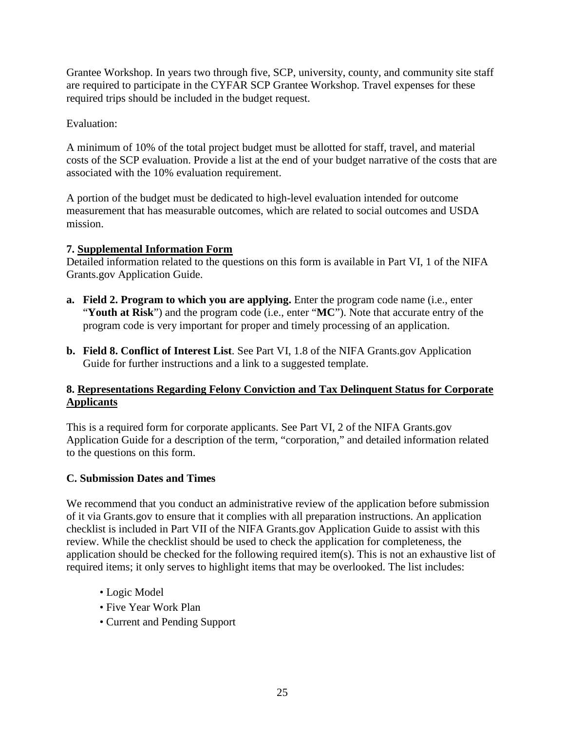Grantee Workshop. In years two through five, SCP, university, county, and community site staff are required to participate in the CYFAR SCP Grantee Workshop. Travel expenses for these required trips should be included in the budget request.

Evaluation:

A minimum of 10% of the total project budget must be allotted for staff, travel, and material costs of the SCP evaluation. Provide a list at the end of your budget narrative of the costs that are associated with the 10% evaluation requirement.

A portion of the budget must be dedicated to high-level evaluation intended for outcome measurement that has measurable outcomes, which are related to social outcomes and USDA mission.

#### **7. Supplemental Information Form**

Detailed information related to the questions on this form is available in Part VI, 1 of the NIFA Grants.gov Application Guide.

- **a. Field 2. Program to which you are applying.** Enter the program code name (i.e., enter "**Youth at Risk**") and the program code (i.e., enter "**MC**"). Note that accurate entry of the program code is very important for proper and timely processing of an application.
- **b. Field 8. Conflict of Interest List**. See Part VI, 1.8 of the NIFA Grants.gov Application Guide for further instructions and a link to a suggested template.

#### **8. Representations Regarding Felony Conviction and Tax Delinquent Status for Corporate Applicants**

This is a required form for corporate applicants. See Part VI, 2 of the NIFA Grants.gov Application Guide for a description of the term, "corporation," and detailed information related to the questions on this form.

# <span id="page-24-0"></span>**C. Submission Dates and Times**

We recommend that you conduct an administrative review of the application before submission of it via Grants.gov to ensure that it complies with all preparation instructions. An application checklist is included in Part VII of the NIFA Grants.gov Application Guide to assist with this review. While the checklist should be used to check the application for completeness, the application should be checked for the following required item(s). This is not an exhaustive list of required items; it only serves to highlight items that may be overlooked. The list includes:

- Logic Model
- Five Year Work Plan
- Current and Pending Support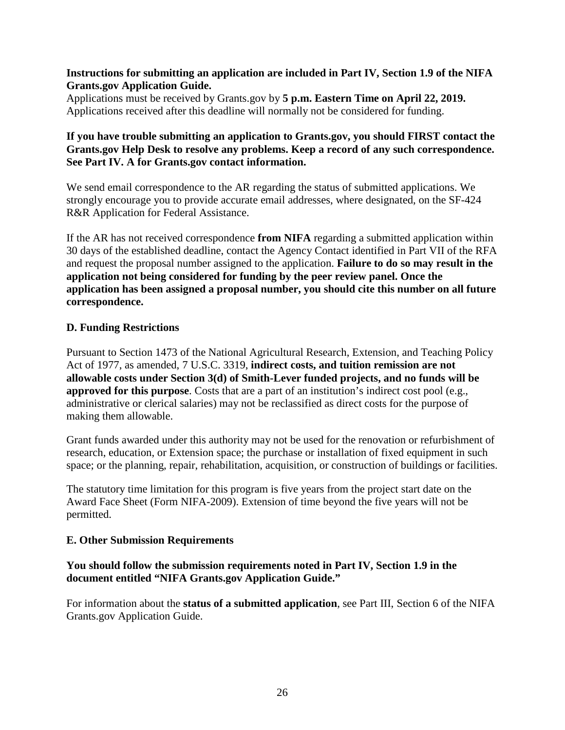#### **Instructions for submitting an application are included in Part IV, Section 1.9 of the NIFA Grants.gov Application Guide.**

Applications must be received by Grants.gov by **5 p.m. Eastern Time on April 22, 2019.**  Applications received after this deadline will normally not be considered for funding.

#### **If you have trouble submitting an application to Grants.gov, you should FIRST contact the Grants.gov Help Desk to resolve any problems. Keep a record of any such correspondence. See Part IV. A for Grants.gov contact information.**

We send email correspondence to the AR regarding the status of submitted applications. We strongly encourage you to provide accurate email addresses, where designated, on the SF-424 R&R Application for Federal Assistance.

If the AR has not received correspondence **from NIFA** regarding a submitted application within 30 days of the established deadline, contact the Agency Contact identified in Part VII of the RFA and request the proposal number assigned to the application. **Failure to do so may result in the application not being considered for funding by the peer review panel. Once the application has been assigned a proposal number, you should cite this number on all future correspondence.**

#### <span id="page-25-0"></span>**D. Funding Restrictions**

Pursuant to Section 1473 of the National Agricultural Research, Extension, and Teaching Policy Act of 1977, as amended, 7 U.S.C. 3319, **indirect costs, and tuition remission are not allowable costs under Section 3(d) of Smith-Lever funded projects, and no funds will be approved for this purpose**. Costs that are a part of an institution's indirect cost pool (e.g., administrative or clerical salaries) may not be reclassified as direct costs for the purpose of making them allowable.

Grant funds awarded under this authority may not be used for the renovation or refurbishment of research, education, or Extension space; the purchase or installation of fixed equipment in such space; or the planning, repair, rehabilitation, acquisition, or construction of buildings or facilities.

The statutory time limitation for this program is five years from the project start date on the Award Face Sheet (Form NIFA-2009). Extension of time beyond the five years will not be permitted.

#### <span id="page-25-1"></span>**E. Other Submission Requirements**

#### **You should follow the submission requirements noted in Part IV, Section 1.9 in the document entitled "NIFA Grants.gov Application Guide."**

For information about the **status of a submitted application**, see Part III, Section 6 of the NIFA Grants.gov Application Guide.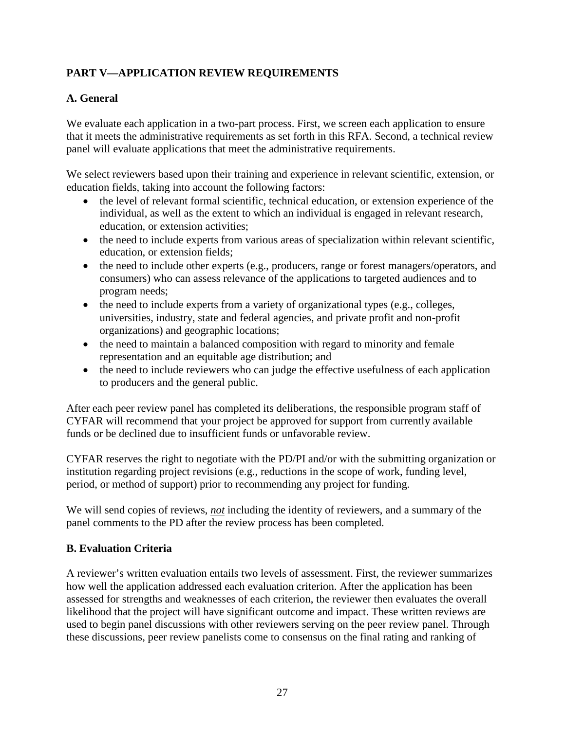# <span id="page-26-0"></span>**PART V—APPLICATION REVIEW REQUIREMENTS**

# <span id="page-26-1"></span>**A. General**

We evaluate each application in a two-part process. First, we screen each application to ensure that it meets the administrative requirements as set forth in this RFA. Second, a technical review panel will evaluate applications that meet the administrative requirements.

We select reviewers based upon their training and experience in relevant scientific, extension, or education fields, taking into account the following factors:

- the level of relevant formal scientific, technical education, or extension experience of the individual, as well as the extent to which an individual is engaged in relevant research, education, or extension activities;
- the need to include experts from various areas of specialization within relevant scientific, education, or extension fields;
- the need to include other experts (e.g., producers, range or forest managers/operators, and consumers) who can assess relevance of the applications to targeted audiences and to program needs;
- the need to include experts from a variety of organizational types (e.g., colleges, universities, industry, state and federal agencies, and private profit and non-profit organizations) and geographic locations;
- the need to maintain a balanced composition with regard to minority and female representation and an equitable age distribution; and
- the need to include reviewers who can judge the effective usefulness of each application to producers and the general public.

After each peer review panel has completed its deliberations, the responsible program staff of CYFAR will recommend that your project be approved for support from currently available funds or be declined due to insufficient funds or unfavorable review.

CYFAR reserves the right to negotiate with the PD/PI and/or with the submitting organization or institution regarding project revisions (e.g., reductions in the scope of work, funding level, period, or method of support) prior to recommending any project for funding.

We will send copies of reviews, *not* including the identity of reviewers, and a summary of the panel comments to the PD after the review process has been completed.

#### <span id="page-26-2"></span>**B. Evaluation Criteria**

A reviewer's written evaluation entails two levels of assessment. First, the reviewer summarizes how well the application addressed each evaluation criterion. After the application has been assessed for strengths and weaknesses of each criterion, the reviewer then evaluates the overall likelihood that the project will have significant outcome and impact. These written reviews are used to begin panel discussions with other reviewers serving on the peer review panel. Through these discussions, peer review panelists come to consensus on the final rating and ranking of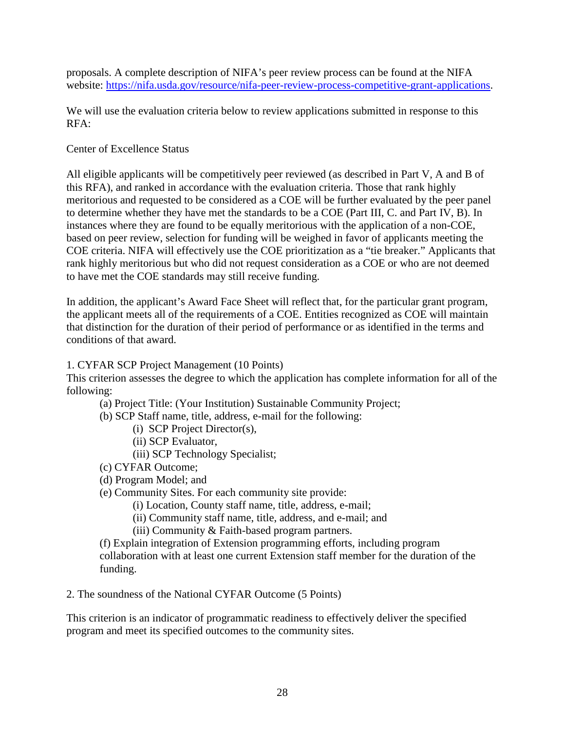proposals. A complete description of NIFA's peer review process can be found at the NIFA website: [https://nifa.usda.gov/resource/nifa-peer-review-process-competitive-grant-applications.](https://nifa.usda.gov/resource/nifa-peer-review-process-competitive-grant-applications)

We will use the evaluation criteria below to review applications submitted in response to this RFA:

#### Center of Excellence Status

All eligible applicants will be competitively peer reviewed (as described in Part V, A and B of this RFA), and ranked in accordance with the evaluation criteria. Those that rank highly meritorious and requested to be considered as a COE will be further evaluated by the peer panel to determine whether they have met the standards to be a COE (Part III, C. and Part IV, B). In instances where they are found to be equally meritorious with the application of a non-COE, based on peer review, selection for funding will be weighed in favor of applicants meeting the COE criteria. NIFA will effectively use the COE prioritization as a "tie breaker." Applicants that rank highly meritorious but who did not request consideration as a COE or who are not deemed to have met the COE standards may still receive funding.

In addition, the applicant's Award Face Sheet will reflect that, for the particular grant program, the applicant meets all of the requirements of a COE. Entities recognized as COE will maintain that distinction for the duration of their period of performance or as identified in the terms and conditions of that award.

#### 1. CYFAR SCP Project Management (10 Points)

This criterion assesses the degree to which the application has complete information for all of the following:

- (a) Project Title: (Your Institution) Sustainable Community Project;
- (b) SCP Staff name, title, address, e-mail for the following:
	- (i) SCP Project Director(s),
	- (ii) SCP Evaluator,
	- (iii) SCP Technology Specialist;
- (c) CYFAR Outcome;
- (d) Program Model; and
- (e) Community Sites. For each community site provide:
	- (i) Location, County staff name, title, address, e-mail;
	- (ii) Community staff name, title, address, and e-mail; and
	- (iii) Community & Faith-based program partners.

(f) Explain integration of Extension programming efforts, including program collaboration with at least one current Extension staff member for the duration of the funding.

2. The soundness of the National CYFAR Outcome (5 Points)

This criterion is an indicator of programmatic readiness to effectively deliver the specified program and meet its specified outcomes to the community sites.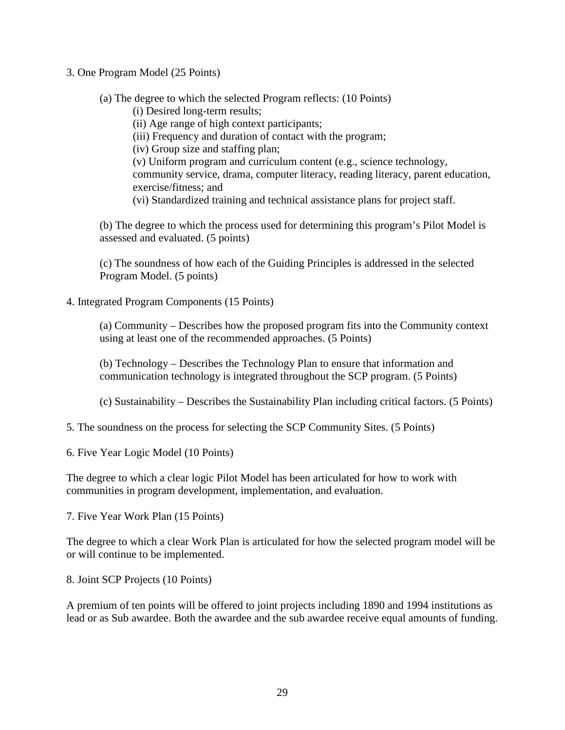- 3. One Program Model (25 Points)
	- (a) The degree to which the selected Program reflects: (10 Points)
		- (i) Desired long-term results;
		- (ii) Age range of high context participants;
		- (iii) Frequency and duration of contact with the program;
		- (iv) Group size and staffing plan;

(v) Uniform program and curriculum content (e.g., science technology, community service, drama, computer literacy, reading literacy, parent education, exercise/fitness; and (vi) Standardized training and technical assistance plans for project staff.

(b) The degree to which the process used for determining this program's Pilot Model is assessed and evaluated. (5 points)

(c) The soundness of how each of the Guiding Principles is addressed in the selected Program Model. (5 points)

4. Integrated Program Components (15 Points)

(a) Community – Describes how the proposed program fits into the Community context using at least one of the recommended approaches. (5 Points)

(b) Technology – Describes the Technology Plan to ensure that information and communication technology is integrated throughout the SCP program. (5 Points)

(c) Sustainability – Describes the Sustainability Plan including critical factors. (5 Points)

- 5. The soundness on the process for selecting the SCP Community Sites. (5 Points)
- 6. Five Year Logic Model (10 Points)

The degree to which a clear logic Pilot Model has been articulated for how to work with communities in program development, implementation, and evaluation.

7. Five Year Work Plan (15 Points)

The degree to which a clear Work Plan is articulated for how the selected program model will be or will continue to be implemented.

8. Joint SCP Projects (10 Points)

A premium of ten points will be offered to joint projects including 1890 and 1994 institutions as lead or as Sub awardee. Both the awardee and the sub awardee receive equal amounts of funding.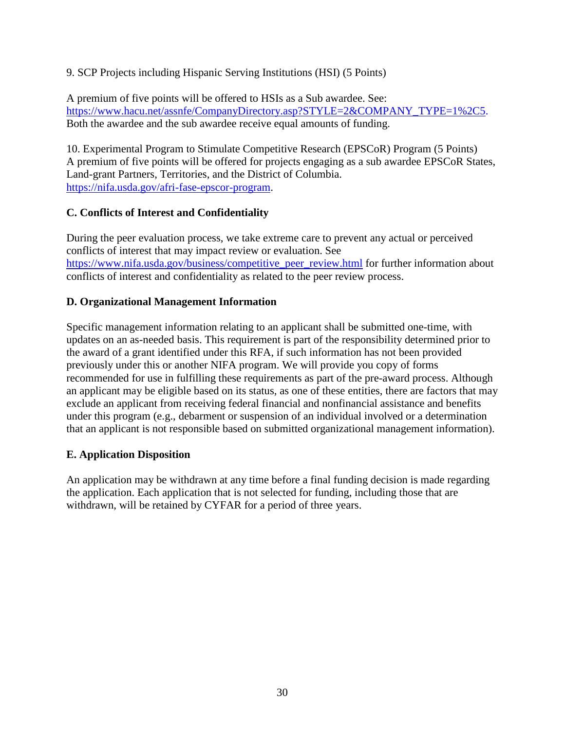9. SCP Projects including Hispanic Serving Institutions (HSI) (5 Points)

A premium of five points will be offered to HSIs as a Sub awardee. See: [https://www.hacu.net/assnfe/CompanyDirectory.asp?STYLE=2&COMPANY\\_TYPE=1%2C5.](https://www.hacu.net/assnfe/CompanyDirectory.asp?STYLE=2&COMPANY_TYPE=1%2C5) Both the awardee and the sub awardee receive equal amounts of funding.

10. Experimental Program to Stimulate Competitive Research (EPSCoR) Program (5 Points) A premium of five points will be offered for projects engaging as a sub awardee EPSCoR States, Land-grant Partners, Territories, and the District of Columbia. [https://nifa.usda.gov/afri-fase-epscor-program.](https://nifa.usda.gov/afri-fase-epscor-program)

# <span id="page-29-0"></span>**C. Conflicts of Interest and Confidentiality**

During the peer evaluation process, we take extreme care to prevent any actual or perceived conflicts of interest that may impact review or evaluation. See [https://www.nifa.usda.gov/business/competitive\\_peer\\_review.html](https://www.nifa.usda.gov/business/competitive_peer_review.html) for further information about conflicts of interest and confidentiality as related to the peer review process.

# <span id="page-29-1"></span>**D. Organizational Management Information**

Specific management information relating to an applicant shall be submitted one-time, with updates on an as-needed basis. This requirement is part of the responsibility determined prior to the award of a grant identified under this RFA, if such information has not been provided previously under this or another NIFA program. We will provide you copy of forms recommended for use in fulfilling these requirements as part of the pre-award process. Although an applicant may be eligible based on its status, as one of these entities, there are factors that may exclude an applicant from receiving federal financial and nonfinancial assistance and benefits under this program (e.g., debarment or suspension of an individual involved or a determination that an applicant is not responsible based on submitted organizational management information).

# <span id="page-29-2"></span>**E. Application Disposition**

An application may be withdrawn at any time before a final funding decision is made regarding the application. Each application that is not selected for funding, including those that are withdrawn, will be retained by CYFAR for a period of three years.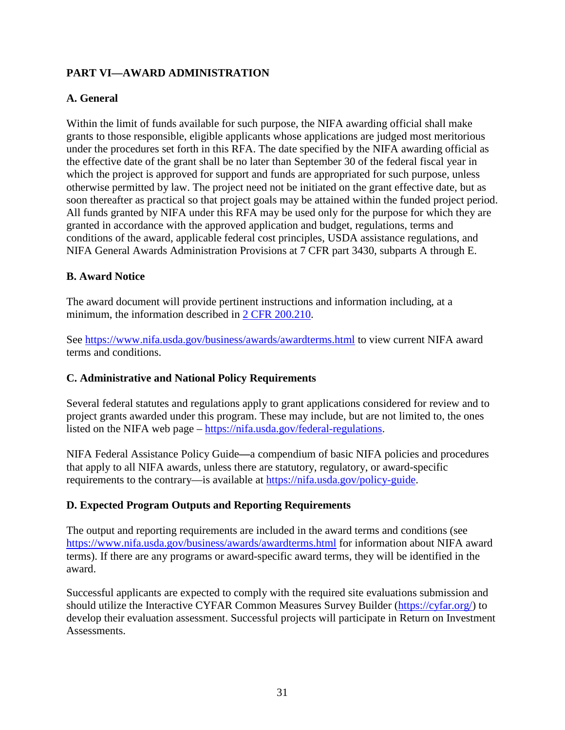# <span id="page-30-0"></span>**PART VI—AWARD ADMINISTRATION**

#### <span id="page-30-1"></span>**A. General**

Within the limit of funds available for such purpose, the NIFA awarding official shall make grants to those responsible, eligible applicants whose applications are judged most meritorious under the procedures set forth in this RFA. The date specified by the NIFA awarding official as the effective date of the grant shall be no later than September 30 of the federal fiscal year in which the project is approved for support and funds are appropriated for such purpose, unless otherwise permitted by law. The project need not be initiated on the grant effective date, but as soon thereafter as practical so that project goals may be attained within the funded project period. All funds granted by NIFA under this RFA may be used only for the purpose for which they are granted in accordance with the approved application and budget, regulations, terms and conditions of the award, applicable federal cost principles, USDA assistance regulations, and NIFA General Awards Administration Provisions at 7 CFR part 3430, subparts A through E.

#### <span id="page-30-2"></span>**B. Award Notice**

The award document will provide pertinent instructions and information including, at a minimum, the information described in [2 CFR 200.210.](http://www.ecfr.gov/cgi-bin/text-idx?SID=70b44cfc44976f4a7742464f7cfbb37e&mc=true&node=se2.1.200_1210&rgn=div8)

See [https://www.nifa.usda.gov/business/awards/awardterms.html](http://www.nifa.usda.gov/business/awards/awardterms.html) to view current NIFA award terms and conditions.

#### <span id="page-30-3"></span>**C. Administrative and National Policy Requirements**

Several federal statutes and regulations apply to grant applications considered for review and to project grants awarded under this program. These may include, but are not limited to, the ones listed on the NIFA web page – [https://nifa.usda.gov/federal-regulations.](https://nifa.usda.gov/federal-regulations)

NIFA Federal Assistance Policy Guide**—**a compendium of basic NIFA policies and procedures that apply to all NIFA awards, unless there are statutory, regulatory, or award-specific requirements to the contrary—is available at [https://nifa.usda.gov/policy-guide.](https://nifa.usda.gov/policy-guide)

# <span id="page-30-4"></span>**D. Expected Program Outputs and Reporting Requirements**

The output and reporting requirements are included in the award terms and conditions (see <https://www.nifa.usda.gov/business/awards/awardterms.html> for information about NIFA award terms). If there are any programs or award-specific award terms, they will be identified in the award.

Successful applicants are expected to comply with the required site evaluations submission and should utilize the Interactive CYFAR Common Measures Survey Builder [\(https://cyfar.org/\)](https://cyfar.org/) to develop their evaluation assessment. Successful projects will participate in Return on Investment Assessments.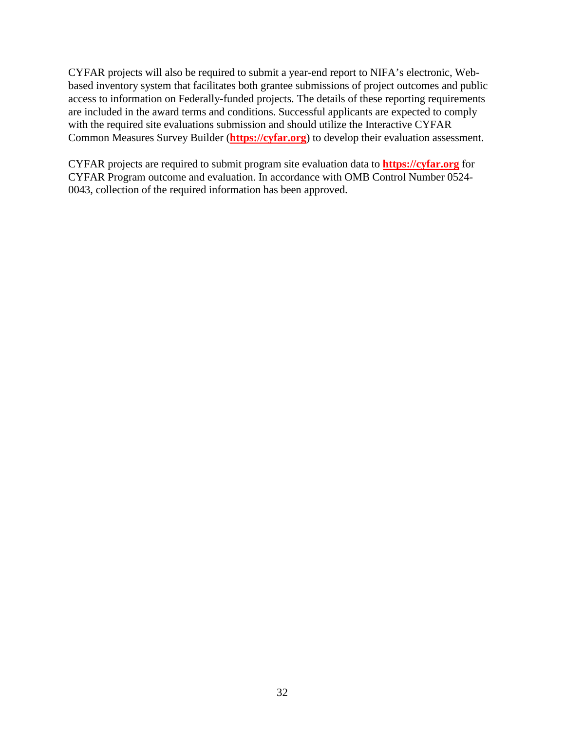CYFAR projects will also be required to submit a year-end report to NIFA's electronic, Webbased inventory system that facilitates both grantee submissions of project outcomes and public access to information on Federally-funded projects. The details of these reporting requirements are included in the award terms and conditions. Successful applicants are expected to comply with the required site evaluations submission and should utilize the Interactive CYFAR Common Measures Survey Builder (**[https://cyfar.org](https://cyfar.org/)**) to develop their evaluation assessment.

CYFAR projects are required to submit program site evaluation data to **[https://cyfar.org](https://cyfar.org/)** for CYFAR Program outcome and evaluation. In accordance with OMB Control Number 0524- 0043, collection of the required information has been approved.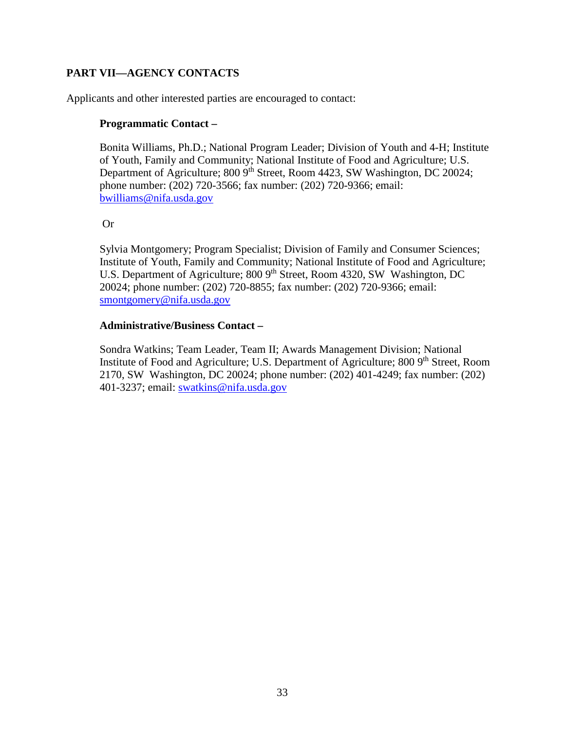# <span id="page-32-0"></span>**PART VII—AGENCY CONTACTS**

Applicants and other interested parties are encouraged to contact:

#### **Programmatic Contact –**

Bonita Williams, Ph.D.; National Program Leader; Division of Youth and 4-H; Institute of Youth, Family and Community; National Institute of Food and Agriculture; U.S. Department of Agriculture; 800 9<sup>th</sup> Street, Room 4423, SW Washington, DC 20024; phone number: (202) 720-3566; fax number: (202) 720-9366; email: [bwilliams@nifa.usda.gov](mailto:bwilliams@nifa.usda.gov)

#### Or

Sylvia Montgomery; Program Specialist; Division of Family and Consumer Sciences; Institute of Youth, Family and Community; National Institute of Food and Agriculture; U.S. Department of Agriculture; 800 9<sup>th</sup> Street, Room 4320, SW Washington, DC 20024; phone number: (202) 720-8855; fax number: (202) 720-9366; email: [smontgomery@nifa.usda.gov](mailto:smontgomery@nifa.usda.gov)

#### **Administrative/Business Contact –**

Sondra Watkins; Team Leader, Team II; Awards Management Division; National Institute of Food and Agriculture; U.S. Department of Agriculture; 800 9<sup>th</sup> Street, Room 2170, SW Washington, DC 20024; phone number: (202) 401-4249; fax number: (202) 401-3237; email: [swatkins@nifa.usda.gov](mailto:swatkins@nifa.usda.gov)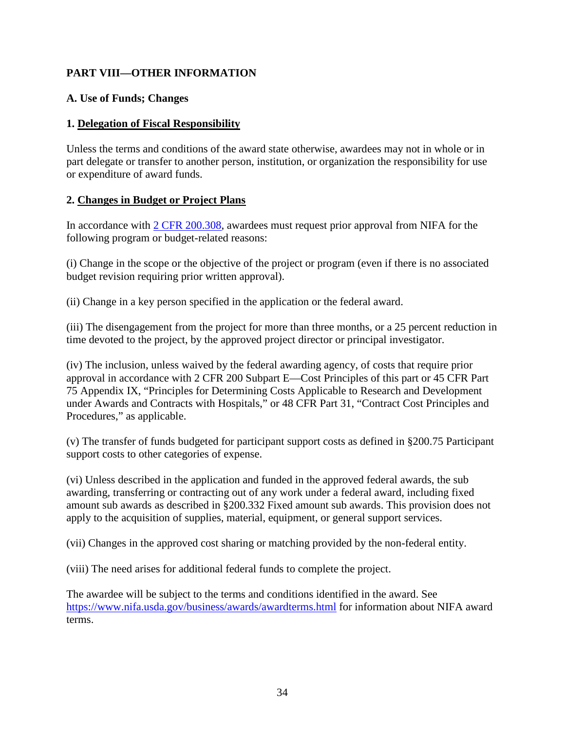# <span id="page-33-0"></span>**PART VIII—OTHER INFORMATION**

#### <span id="page-33-1"></span>**A. Use of Funds; Changes**

#### **1. Delegation of Fiscal Responsibility**

Unless the terms and conditions of the award state otherwise, awardees may not in whole or in part delegate or transfer to another person, institution, or organization the responsibility for use or expenditure of award funds.

#### **2. Changes in Budget or Project Plans**

In accordance with [2 CFR 200.308,](http://www.ecfr.gov/cgi-bin/text-idx?SID=3af89506559b05297e7d0334cb283e24&mc=true&node=se2.1.200_1308&rgn=div8) awardees must request prior approval from NIFA for the following program or budget-related reasons:

(i) Change in the scope or the objective of the project or program (even if there is no associated budget revision requiring prior written approval).

(ii) Change in a key person specified in the application or the federal award.

(iii) The disengagement from the project for more than three months, or a 25 percent reduction in time devoted to the project, by the approved project director or principal investigator.

(iv) The inclusion, unless waived by the federal awarding agency, of costs that require prior approval in accordance with 2 CFR 200 Subpart E—Cost Principles of this part or 45 CFR Part 75 Appendix IX, "Principles for Determining Costs Applicable to Research and Development under Awards and Contracts with Hospitals," or 48 CFR Part 31, "Contract Cost Principles and Procedures," as applicable.

(v) The transfer of funds budgeted for participant support costs as defined in §200.75 Participant support costs to other categories of expense.

(vi) Unless described in the application and funded in the approved federal awards, the sub awarding, transferring or contracting out of any work under a federal award, including fixed amount sub awards as described in §200.332 Fixed amount sub awards. This provision does not apply to the acquisition of supplies, material, equipment, or general support services.

(vii) Changes in the approved cost sharing or matching provided by the non-federal entity.

(viii) The need arises for additional federal funds to complete the project.

The awardee will be subject to the terms and conditions identified in the award. See <https://www.nifa.usda.gov/business/awards/awardterms.html> for information about NIFA award terms.